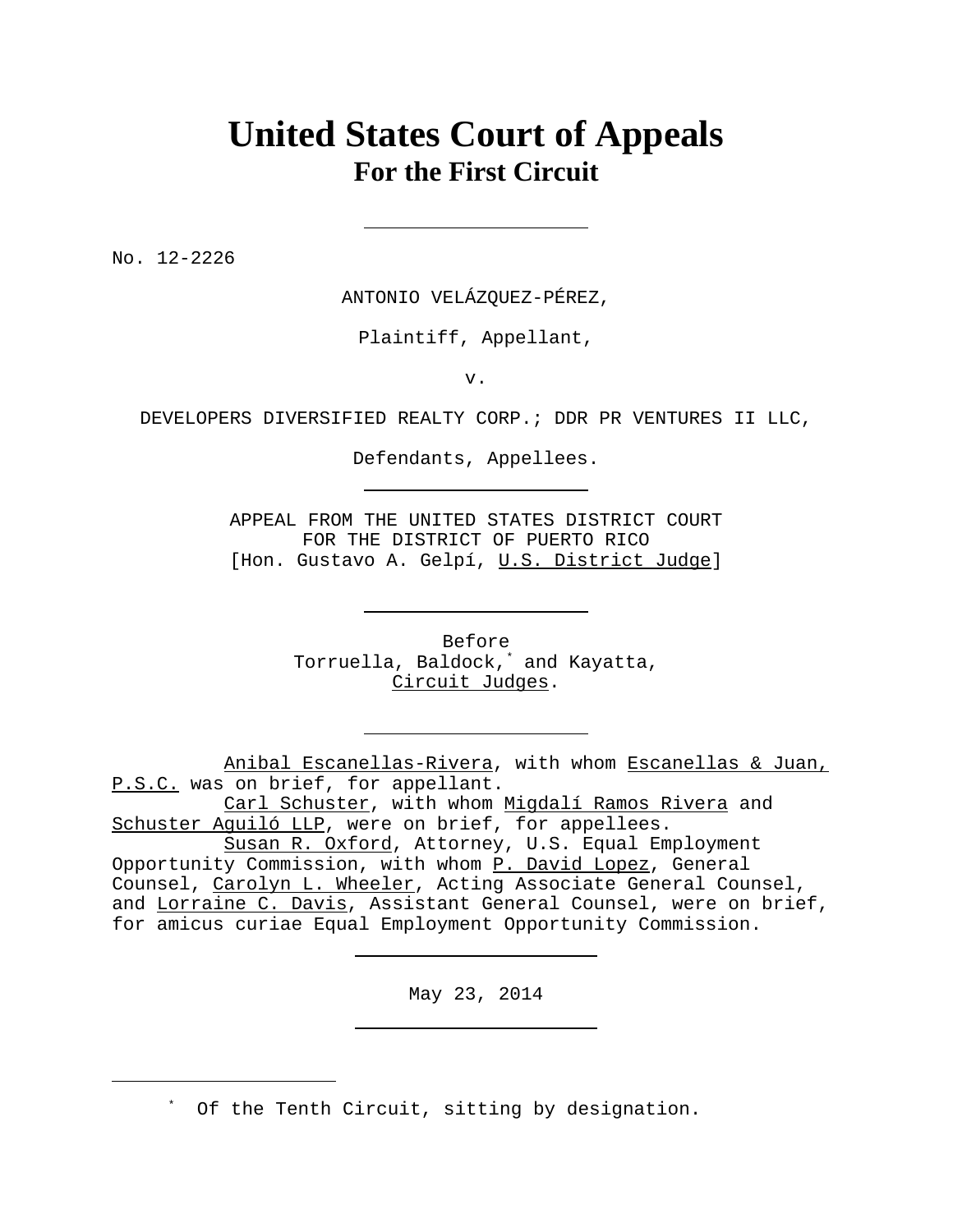# **United States Court of Appeals For the First Circuit**

No. 12-2226

ANTONIO VELÁZQUEZ-PÉREZ,

Plaintiff, Appellant,

v.

DEVELOPERS DIVERSIFIED REALTY CORP.; DDR PR VENTURES II LLC,

Defendants, Appellees.

APPEAL FROM THE UNITED STATES DISTRICT COURT FOR THE DISTRICT OF PUERTO RICO [Hon. Gustavo A. Gelpí, U.S. District Judge]

> Before Torruella, Baldock,\* and Kayatta, Circuit Judges.

Anibal Escanellas-Rivera, with whom Escanellas & Juan, P.S.C. was on brief, for appellant.

Carl Schuster, with whom Migdalí Ramos Rivera and Schuster Aguiló LLP, were on brief, for appellees.

May 23, 2014

\* Of the Tenth Circuit, sitting by designation.

Susan R. Oxford, Attorney, U.S. Equal Employment Opportunity Commission, with whom P. David Lopez, General Counsel, Carolyn L. Wheeler, Acting Associate General Counsel, and Lorraine C. Davis, Assistant General Counsel, were on brief, for amicus curiae Equal Employment Opportunity Commission.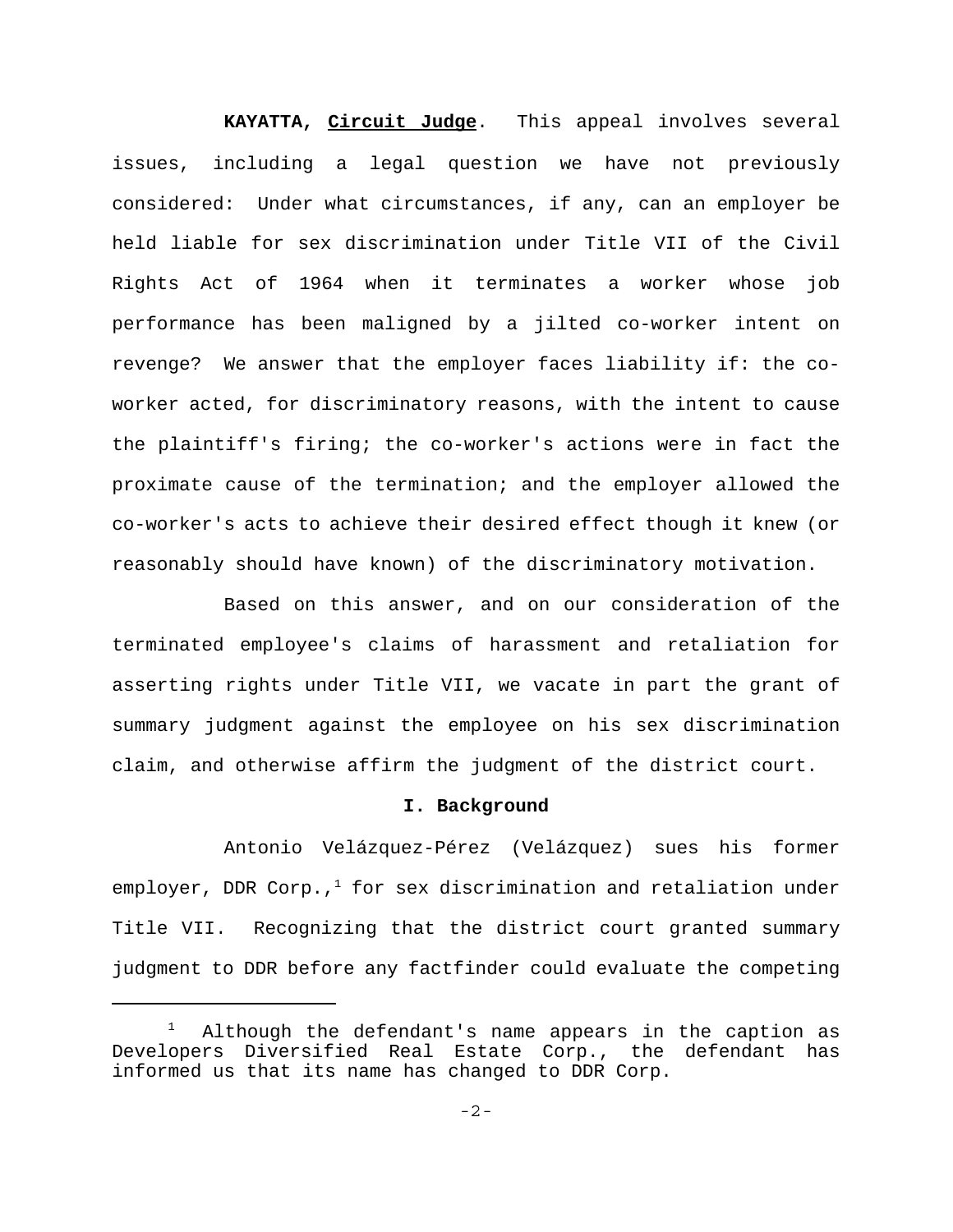**KAYATTA, Circuit Judge**. This appeal involves several issues, including a legal question we have not previously considered: Under what circumstances, if any, can an employer be held liable for sex discrimination under Title VII of the Civil Rights Act of 1964 when it terminates a worker whose job performance has been maligned by a jilted co-worker intent on revenge? We answer that the employer faces liability if: the coworker acted, for discriminatory reasons, with the intent to cause the plaintiff's firing; the co-worker's actions were in fact the proximate cause of the termination; and the employer allowed the co-worker's acts to achieve their desired effect though it knew (or reasonably should have known) of the discriminatory motivation.

Based on this answer, and on our consideration of the terminated employee's claims of harassment and retaliation for asserting rights under Title VII, we vacate in part the grant of summary judgment against the employee on his sex discrimination claim, and otherwise affirm the judgment of the district court.

#### **I. Background**

Antonio Velázquez-Pérez (Velázquez) sues his former employer, DDR Corp., $1$  for sex discrimination and retaliation under Title VII. Recognizing that the district court granted summary judgment to DDR before any factfinder could evaluate the competing

<sup>1</sup> Although the defendant's name appears in the caption as Developers Diversified Real Estate Corp., the defendant has informed us that its name has changed to DDR Corp.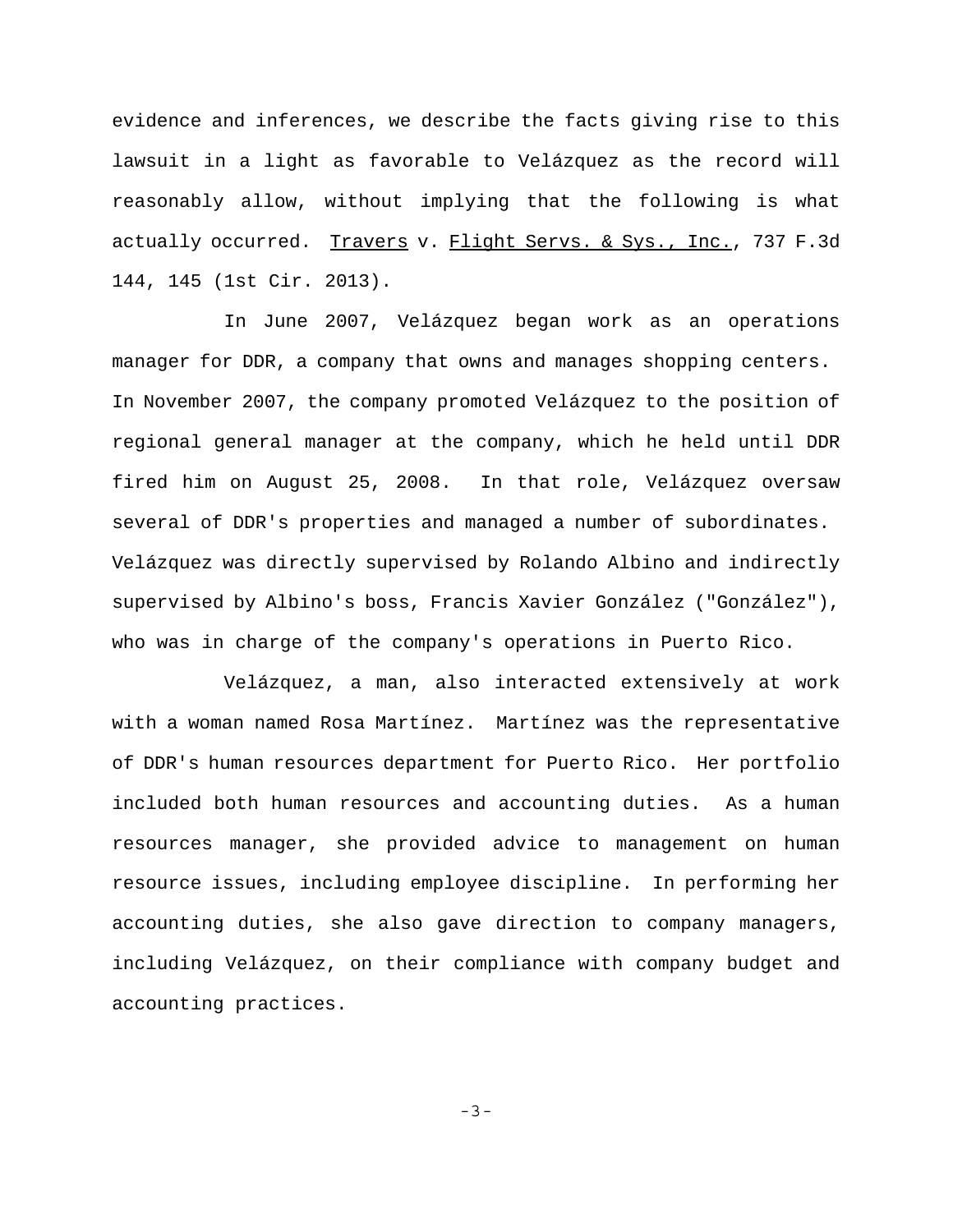evidence and inferences, we describe the facts giving rise to this lawsuit in a light as favorable to Velázquez as the record will reasonably allow, without implying that the following is what actually occurred. Travers v. Flight Servs. & Sys., Inc., 737 F.3d 144, 145 (1st Cir. 2013).

In June 2007, Velázquez began work as an operations manager for DDR, a company that owns and manages shopping centers. In November 2007, the company promoted Velázquez to the position of regional general manager at the company, which he held until DDR fired him on August 25, 2008. In that role, Velázquez oversaw several of DDR's properties and managed a number of subordinates. Velázquez was directly supervised by Rolando Albino and indirectly supervised by Albino's boss, Francis Xavier González ("González"), who was in charge of the company's operations in Puerto Rico.

Velázquez, a man, also interacted extensively at work with a woman named Rosa Martínez. Martínez was the representative of DDR's human resources department for Puerto Rico. Her portfolio included both human resources and accounting duties. As a human resources manager, she provided advice to management on human resource issues, including employee discipline. In performing her accounting duties, she also gave direction to company managers, including Velázquez, on their compliance with company budget and accounting practices.

-3-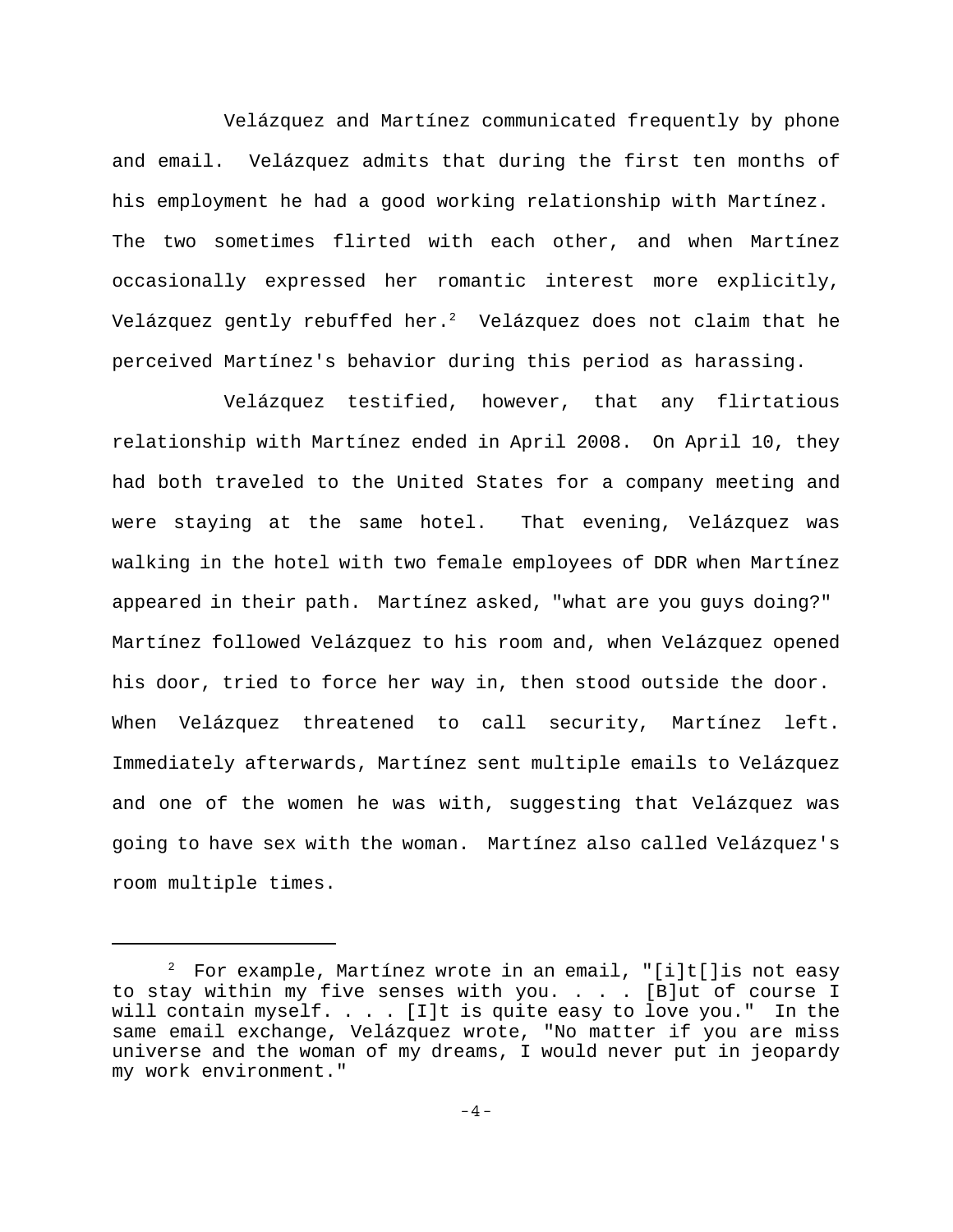Velázquez and Martínez communicated frequently by phone and email. Velázquez admits that during the first ten months of his employment he had a good working relationship with Martínez. The two sometimes flirted with each other, and when Martínez occasionally expressed her romantic interest more explicitly, Velázquez gently rebuffed her. $^{2}$  Velázquez does not claim that he perceived Martínez's behavior during this period as harassing.

Velázquez testified, however, that any flirtatious relationship with Martínez ended in April 2008. On April 10, they had both traveled to the United States for a company meeting and were staying at the same hotel. That evening, Velázquez was walking in the hotel with two female employees of DDR when Martínez appeared in their path. Martínez asked, "what are you guys doing?" Martínez followed Velázquez to his room and, when Velázquez opened his door, tried to force her way in, then stood outside the door. When Velázquez threatened to call security, Martínez left. Immediately afterwards, Martínez sent multiple emails to Velázquez and one of the women he was with, suggesting that Velázquez was going to have sex with the woman. Martínez also called Velázquez's room multiple times.

 $^{\rm 2}$  For example, Martínez wrote in an email, "[i]t[]is not easy to stay within my five senses with you. . . . [B]ut of course I will contain myself. . . . [I]t is quite easy to love you." In the same email exchange, Velázquez wrote, "No matter if you are miss universe and the woman of my dreams, I would never put in jeopardy my work environment."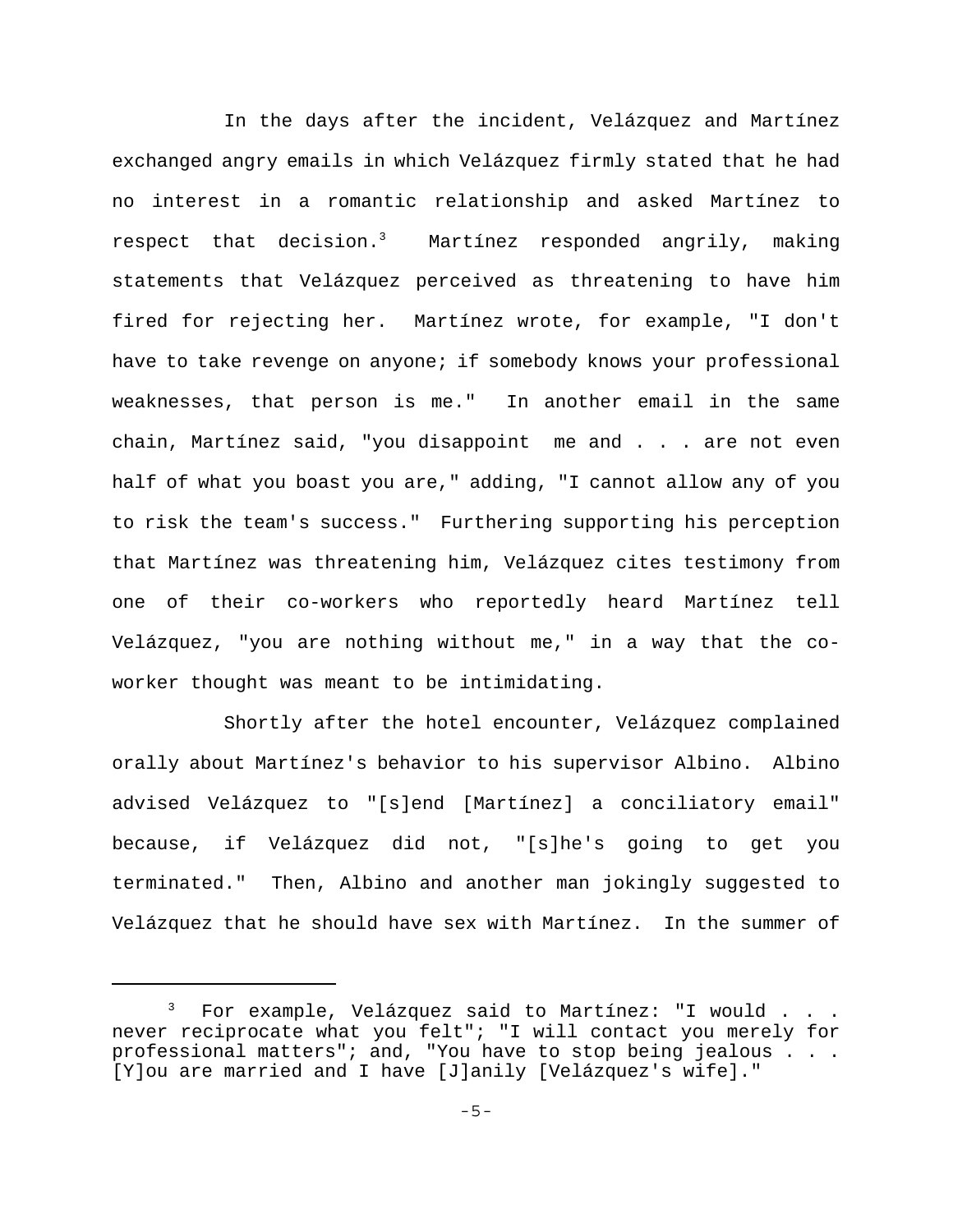In the days after the incident, Velázquez and Martínez exchanged angry emails in which Velázquez firmly stated that he had no interest in a romantic relationship and asked Martínez to respect that decision.3 Martínez responded angrily, making statements that Velázquez perceived as threatening to have him fired for rejecting her. Martínez wrote, for example, "I don't have to take revenge on anyone; if somebody knows your professional weaknesses, that person is me." In another email in the same chain, Martínez said, "you disappoint me and . . . are not even half of what you boast you are," adding, "I cannot allow any of you to risk the team's success." Furthering supporting his perception that Martínez was threatening him, Velázquez cites testimony from one of their co-workers who reportedly heard Martínez tell Velázquez, "you are nothing without me," in a way that the coworker thought was meant to be intimidating.

Shortly after the hotel encounter, Velázquez complained orally about Martínez's behavior to his supervisor Albino. Albino advised Velázquez to "[s]end [Martínez] a conciliatory email" because, if Velázquez did not, "[s]he's going to get you terminated." Then, Albino and another man jokingly suggested to Velázquez that he should have sex with Martínez. In the summer of

 $^3$  For example, Velázquez said to Martínez: "I would . . . never reciprocate what you felt"; "I will contact you merely for professional matters"; and, "You have to stop being jealous . . . [Y]ou are married and I have [J]anily [Velázquez's wife]."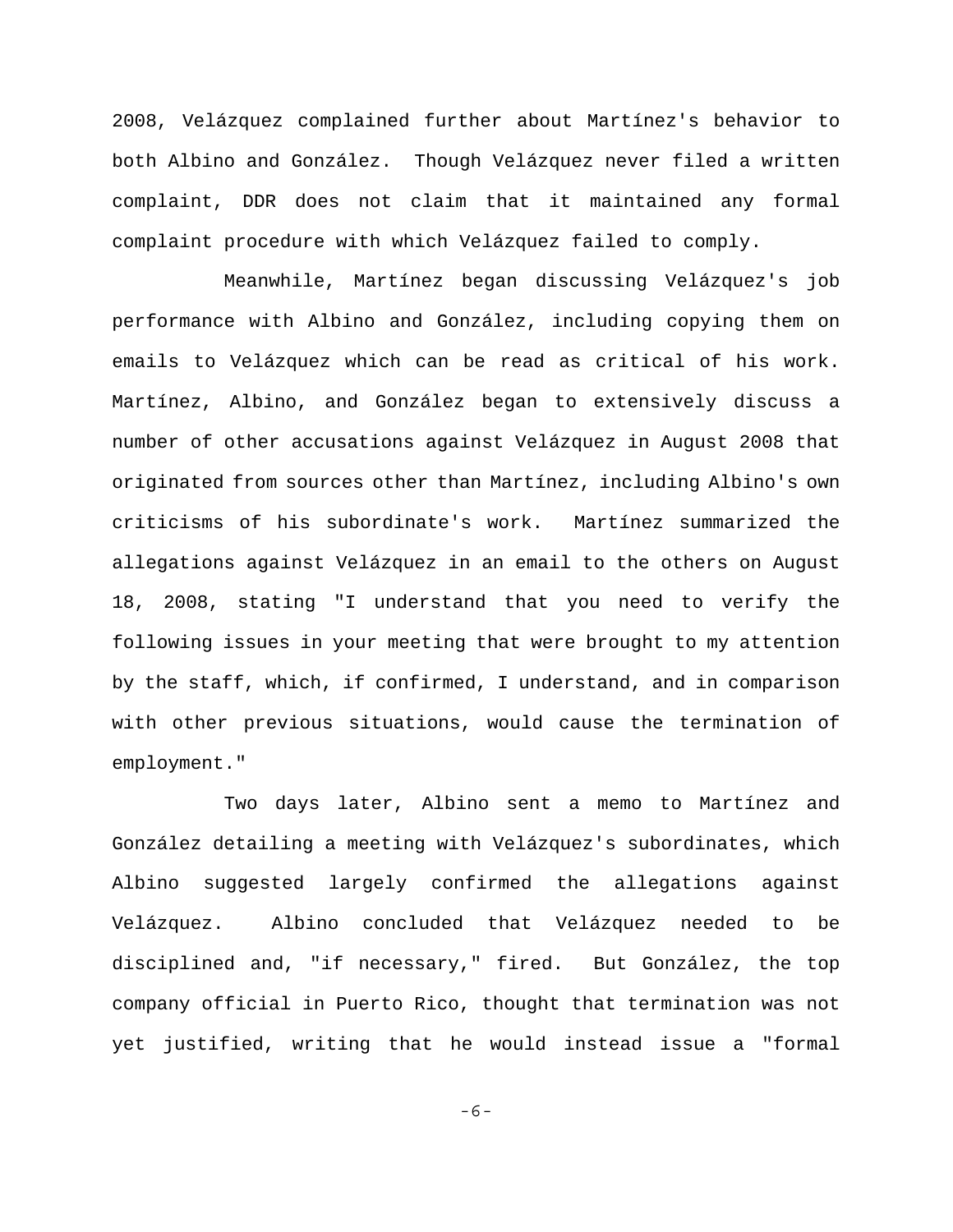2008, Velázquez complained further about Martínez's behavior to both Albino and González. Though Velázquez never filed a written complaint, DDR does not claim that it maintained any formal complaint procedure with which Velázquez failed to comply.

Meanwhile, Martínez began discussing Velázquez's job performance with Albino and González, including copying them on emails to Velázquez which can be read as critical of his work. Martínez, Albino, and González began to extensively discuss a number of other accusations against Velázquez in August 2008 that originated from sources other than Martínez, including Albino's own criticisms of his subordinate's work. Martínez summarized the allegations against Velázquez in an email to the others on August 18, 2008, stating "I understand that you need to verify the following issues in your meeting that were brought to my attention by the staff, which, if confirmed, I understand, and in comparison with other previous situations, would cause the termination of employment."

Two days later, Albino sent a memo to Martínez and González detailing a meeting with Velázquez's subordinates, which Albino suggested largely confirmed the allegations against Velázquez. Albino concluded that Velázquez needed to be disciplined and, "if necessary," fired. But González, the top company official in Puerto Rico, thought that termination was not yet justified, writing that he would instead issue a "formal

-6-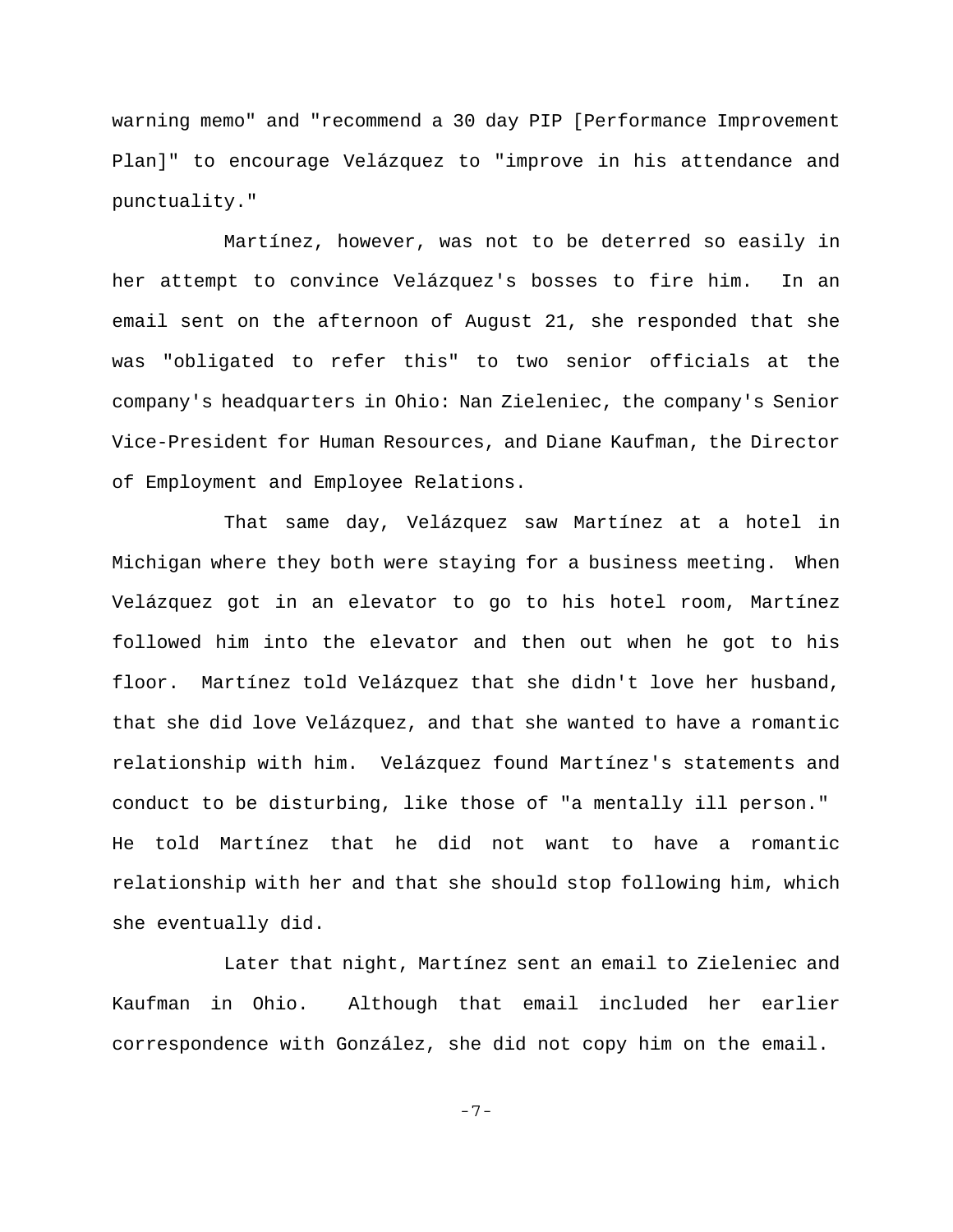warning memo" and "recommend a 30 day PIP [Performance Improvement Plan]" to encourage Velázquez to "improve in his attendance and punctuality."

Martínez, however, was not to be deterred so easily in her attempt to convince Velázquez's bosses to fire him. In an email sent on the afternoon of August 21, she responded that she was "obligated to refer this" to two senior officials at the company's headquarters in Ohio: Nan Zieleniec, the company's Senior Vice-President for Human Resources, and Diane Kaufman, the Director of Employment and Employee Relations.

That same day, Velázquez saw Martínez at a hotel in Michigan where they both were staying for a business meeting. When Velázquez got in an elevator to go to his hotel room, Martínez followed him into the elevator and then out when he got to his floor. Martínez told Velázquez that she didn't love her husband, that she did love Velázquez, and that she wanted to have a romantic relationship with him. Velázquez found Martínez's statements and conduct to be disturbing, like those of "a mentally ill person." He told Martínez that he did not want to have a romantic relationship with her and that she should stop following him, which she eventually did.

Later that night, Martínez sent an email to Zieleniec and Kaufman in Ohio. Although that email included her earlier correspondence with González, she did not copy him on the email.

-7-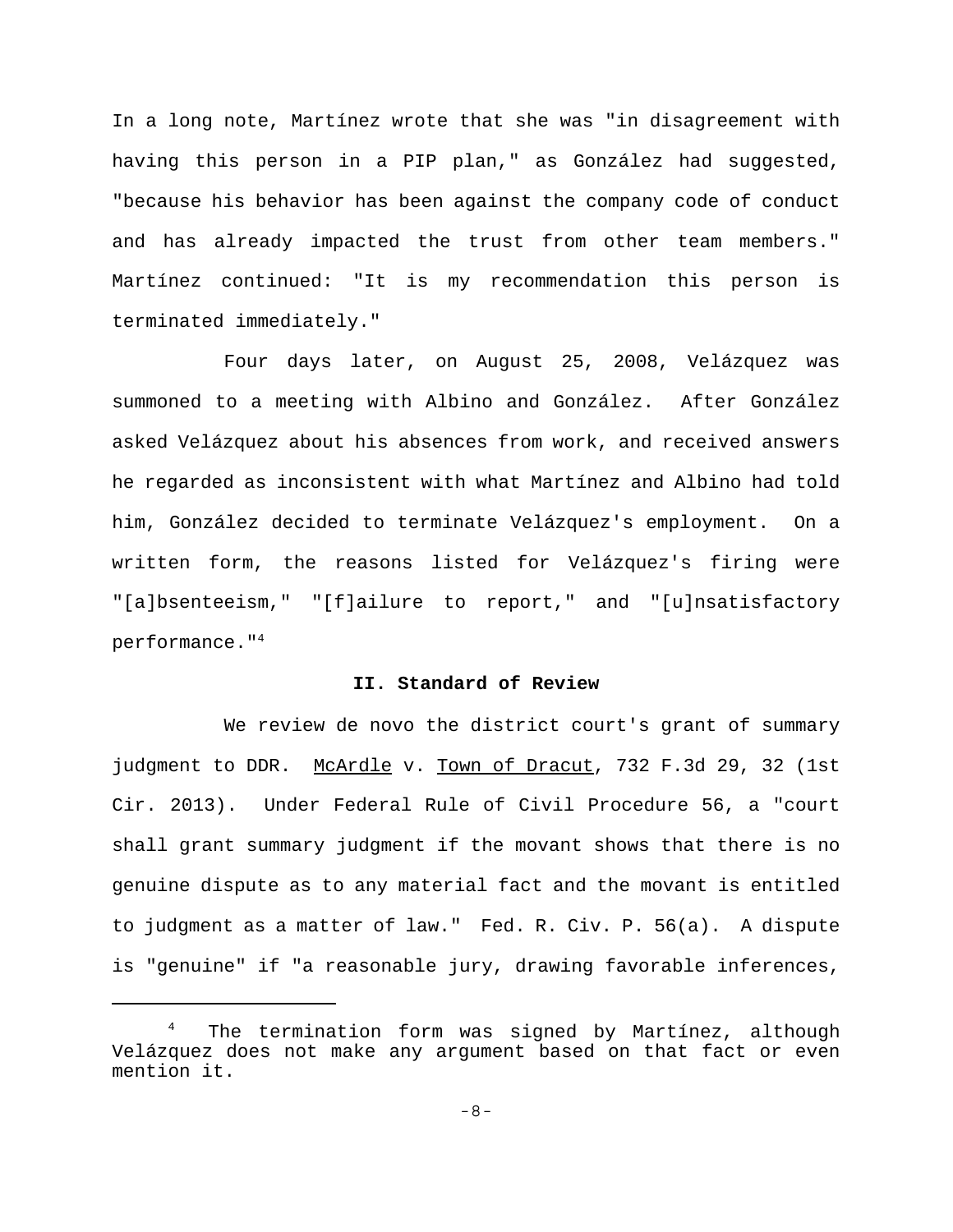In a long note, Martínez wrote that she was "in disagreement with having this person in a PIP plan," as González had suggested, "because his behavior has been against the company code of conduct and has already impacted the trust from other team members." Martínez continued: "It is my recommendation this person is terminated immediately."

Four days later, on August 25, 2008, Velázquez was summoned to a meeting with Albino and González. After González asked Velázquez about his absences from work, and received answers he regarded as inconsistent with what Martínez and Albino had told him, González decided to terminate Velázquez's employment. On a written form, the reasons listed for Velázquez's firing were "[a]bsenteeism," "[f]ailure to report," and "[u]nsatisfactory performance."4

## **II. Standard of Review**

We review de novo the district court's grant of summary judgment to DDR. McArdle v. Town of Dracut, 732 F.3d 29, 32 (1st Cir. 2013). Under Federal Rule of Civil Procedure 56, a "court shall grant summary judgment if the movant shows that there is no genuine dispute as to any material fact and the movant is entitled to judgment as a matter of law." Fed. R. Civ. P. 56(a). A dispute is "genuine" if "a reasonable jury, drawing favorable inferences,

The termination form was signed by Martínez, although Velázquez does not make any argument based on that fact or even mention it.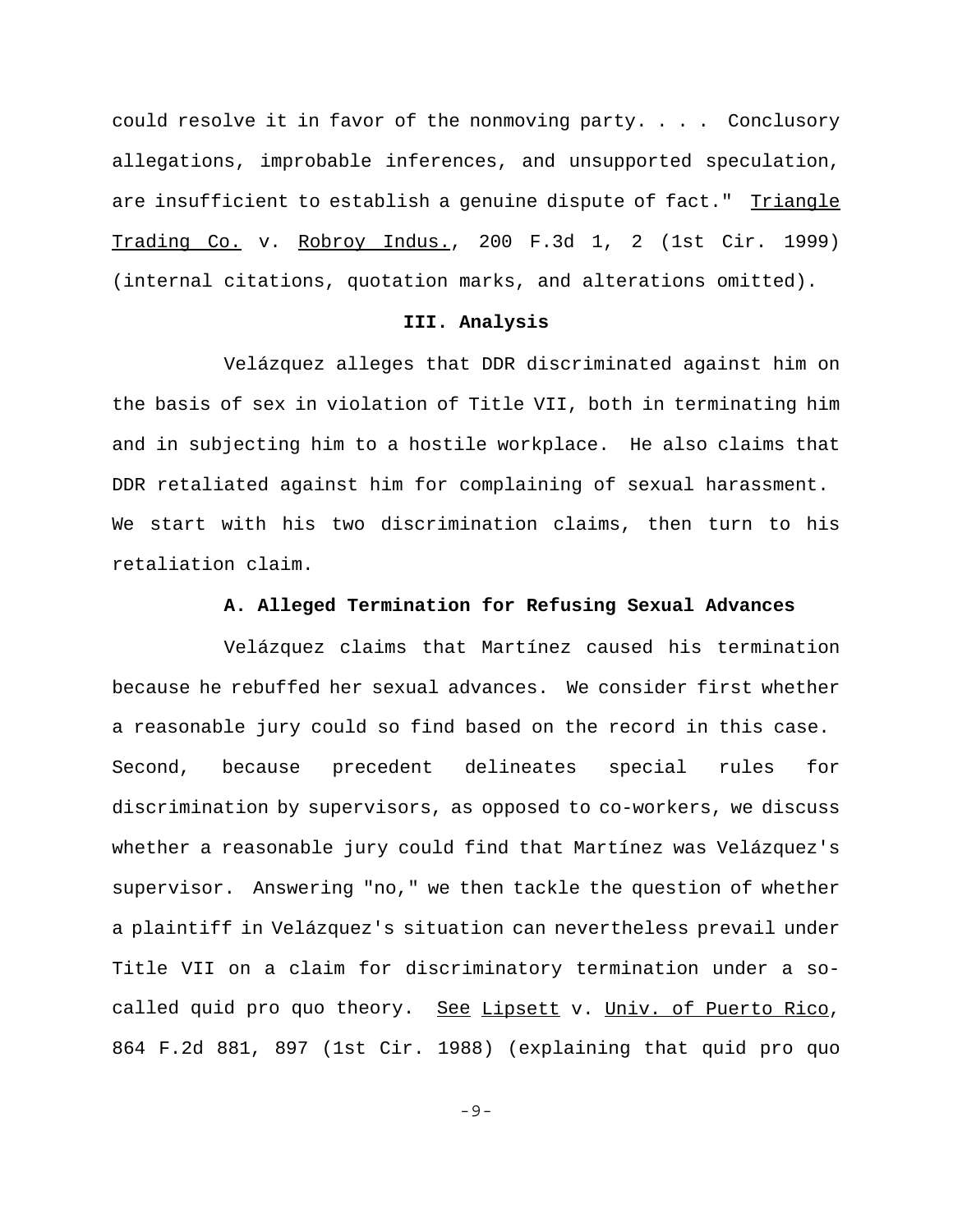could resolve it in favor of the nonmoving party. . . . Conclusory allegations, improbable inferences, and unsupported speculation, are insufficient to establish a genuine dispute of fact." Triangle Trading Co. v. Robroy Indus., 200 F.3d 1, 2 (1st Cir. 1999) (internal citations, quotation marks, and alterations omitted).

#### **III. Analysis**

Velázquez alleges that DDR discriminated against him on the basis of sex in violation of Title VII, both in terminating him and in subjecting him to a hostile workplace. He also claims that DDR retaliated against him for complaining of sexual harassment. We start with his two discrimination claims, then turn to his retaliation claim.

## **A. Alleged Termination for Refusing Sexual Advances**

Velázquez claims that Martínez caused his termination because he rebuffed her sexual advances. We consider first whether a reasonable jury could so find based on the record in this case. Second, because precedent delineates special rules for discrimination by supervisors, as opposed to co-workers, we discuss whether a reasonable jury could find that Martínez was Velázquez's supervisor. Answering "no," we then tackle the question of whether a plaintiff in Velázquez's situation can nevertheless prevail under Title VII on a claim for discriminatory termination under a socalled quid pro quo theory. See Lipsett v. Univ. of Puerto Rico, 864 F.2d 881, 897 (1st Cir. 1988) (explaining that quid pro quo

-9-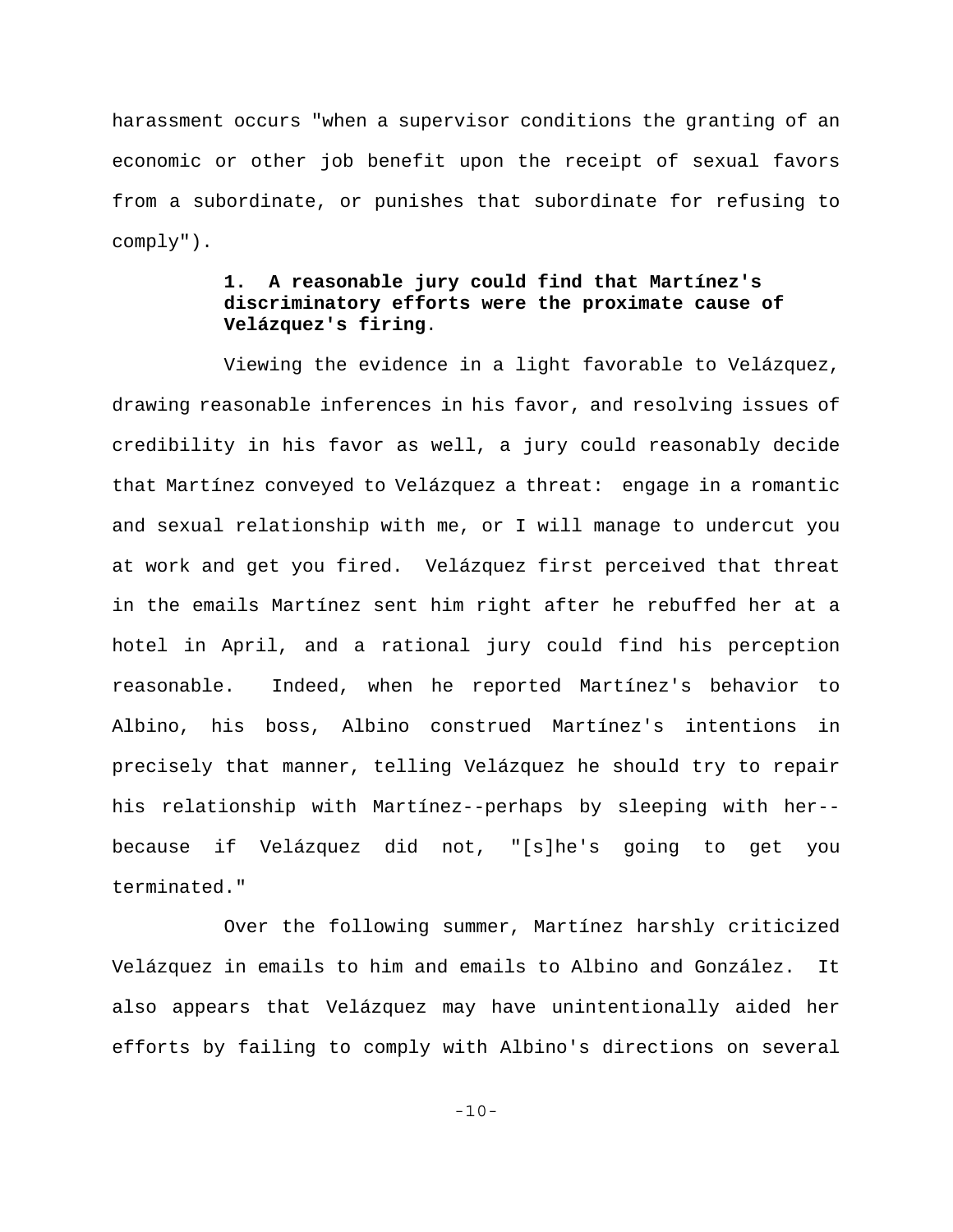harassment occurs "when a supervisor conditions the granting of an economic or other job benefit upon the receipt of sexual favors from a subordinate, or punishes that subordinate for refusing to comply").

# **1. A reasonable jury could find that Martínez's discriminatory efforts were the proximate cause of Velázquez's firing**.

Viewing the evidence in a light favorable to Velázquez, drawing reasonable inferences in his favor, and resolving issues of credibility in his favor as well, a jury could reasonably decide that Martínez conveyed to Velázquez a threat: engage in a romantic and sexual relationship with me, or I will manage to undercut you at work and get you fired. Velázquez first perceived that threat in the emails Martínez sent him right after he rebuffed her at a hotel in April, and a rational jury could find his perception reasonable. Indeed, when he reported Martínez's behavior to Albino, his boss, Albino construed Martínez's intentions in precisely that manner, telling Velázquez he should try to repair his relationship with Martínez--perhaps by sleeping with her- because if Velázquez did not, "[s]he's going to get you terminated."

Over the following summer, Martínez harshly criticized Velázquez in emails to him and emails to Albino and González. It also appears that Velázquez may have unintentionally aided her efforts by failing to comply with Albino's directions on several

-10-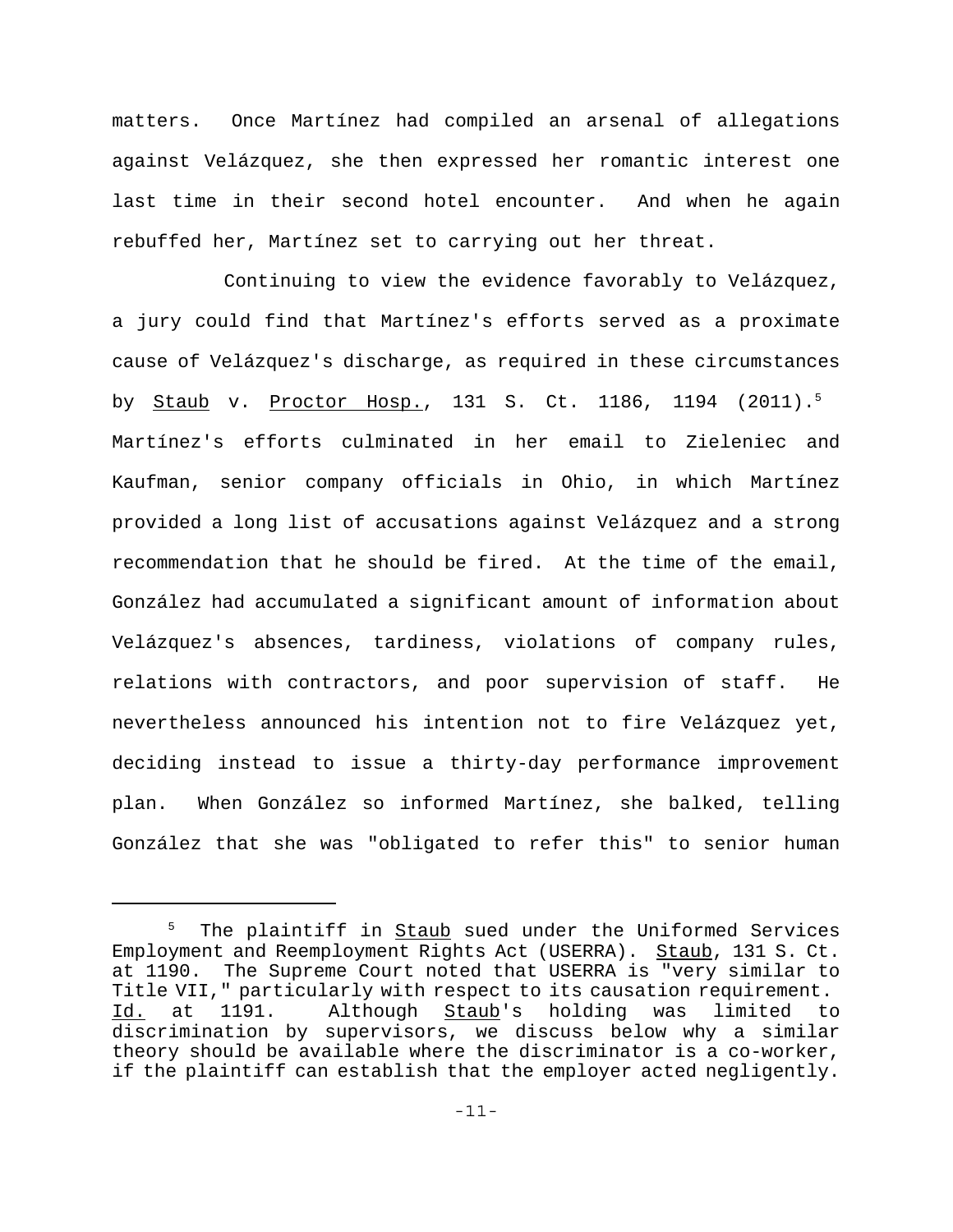matters. Once Martínez had compiled an arsenal of allegations against Velázquez, she then expressed her romantic interest one last time in their second hotel encounter. And when he again rebuffed her, Martínez set to carrying out her threat.

Continuing to view the evidence favorably to Velázquez, a jury could find that Martínez's efforts served as a proximate cause of Velázquez's discharge, as required in these circumstances by Staub v. Proctor Hosp., 131 S. Ct. 1186, 1194 (2011).<sup>5</sup> Martínez's efforts culminated in her email to Zieleniec and Kaufman, senior company officials in Ohio, in which Martínez provided a long list of accusations against Velázquez and a strong recommendation that he should be fired. At the time of the email, González had accumulated a significant amount of information about Velázquez's absences, tardiness, violations of company rules, relations with contractors, and poor supervision of staff. He nevertheless announced his intention not to fire Velázquez yet, deciding instead to issue a thirty-day performance improvement plan. When González so informed Martínez, she balked, telling González that she was "obligated to refer this" to senior human

<sup>&</sup>lt;sup>5</sup> The plaintiff in <u>Staub</u> sued under the Uniformed Services Employment and Reemployment Rights Act (USERRA). Staub, 131 S. Ct. at 1190. The Supreme Court noted that USERRA is "very similar to Title VII," particularly with respect to its causation requirement. Id. at 1191. Although Staub's holding was limited to discrimination by supervisors, we discuss below why a similar theory should be available where the discriminator is a co-worker, if the plaintiff can establish that the employer acted negligently.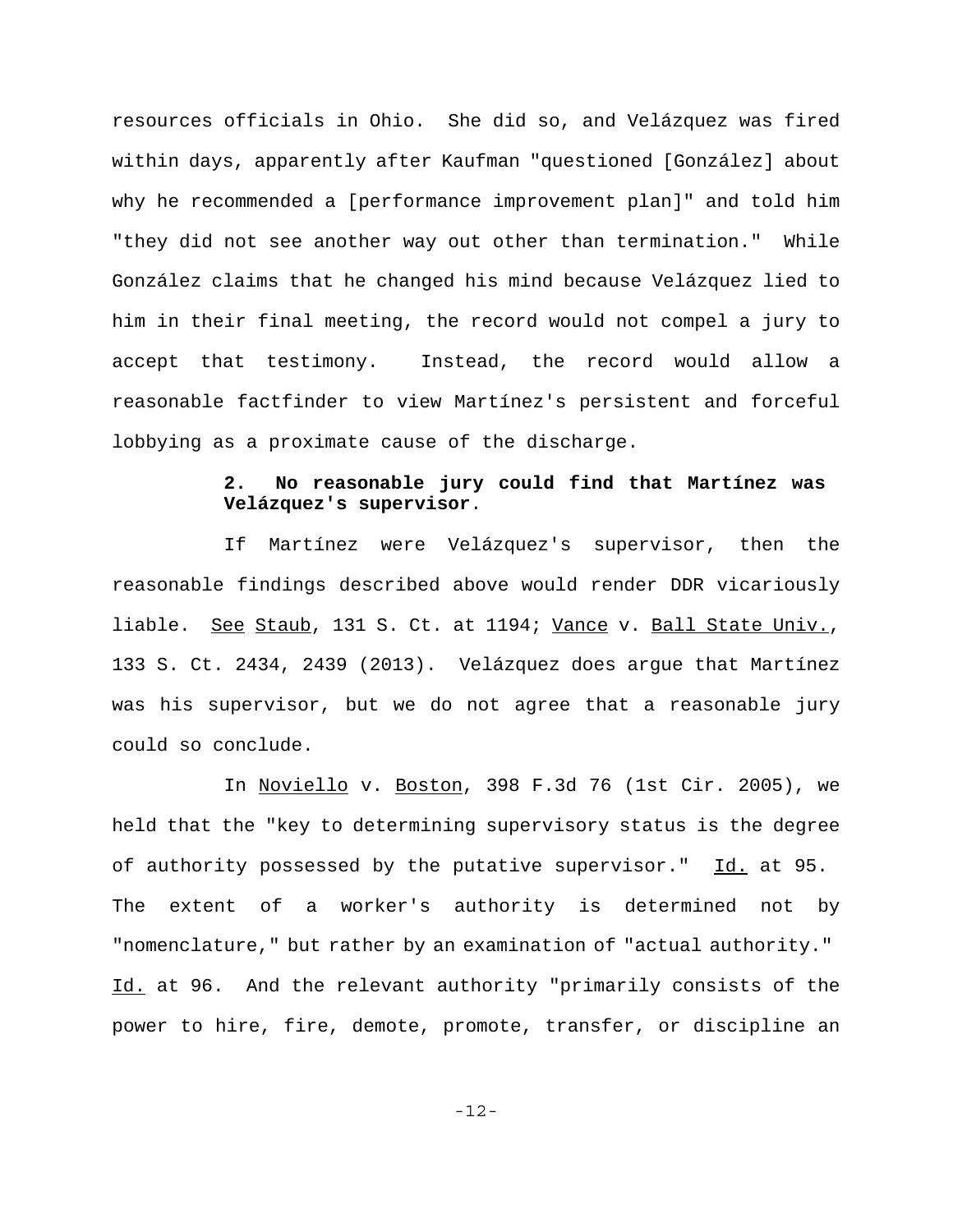resources officials in Ohio. She did so, and Velázquez was fired within days, apparently after Kaufman "questioned [González] about why he recommended a [performance improvement plan]" and told him "they did not see another way out other than termination." While González claims that he changed his mind because Velázquez lied to him in their final meeting, the record would not compel a jury to accept that testimony. Instead, the record would allow a reasonable factfinder to view Martínez's persistent and forceful lobbying as a proximate cause of the discharge.

# **2. No reasonable jury could find that Martínez was Velázquez's supervisor**.

If Martínez were Velázquez's supervisor, then the reasonable findings described above would render DDR vicariously liable. See Staub, 131 S. Ct. at 1194; Vance v. Ball State Univ., 133 S. Ct. 2434, 2439 (2013). Velázquez does argue that Martínez was his supervisor, but we do not agree that a reasonable jury could so conclude.

In Noviello v. Boston, 398 F.3d 76 (1st Cir. 2005), we held that the "key to determining supervisory status is the degree of authority possessed by the putative supervisor." Id. at 95. The extent of a worker's authority is determined not by "nomenclature," but rather by an examination of "actual authority." Id. at 96. And the relevant authority "primarily consists of the power to hire, fire, demote, promote, transfer, or discipline an

-12-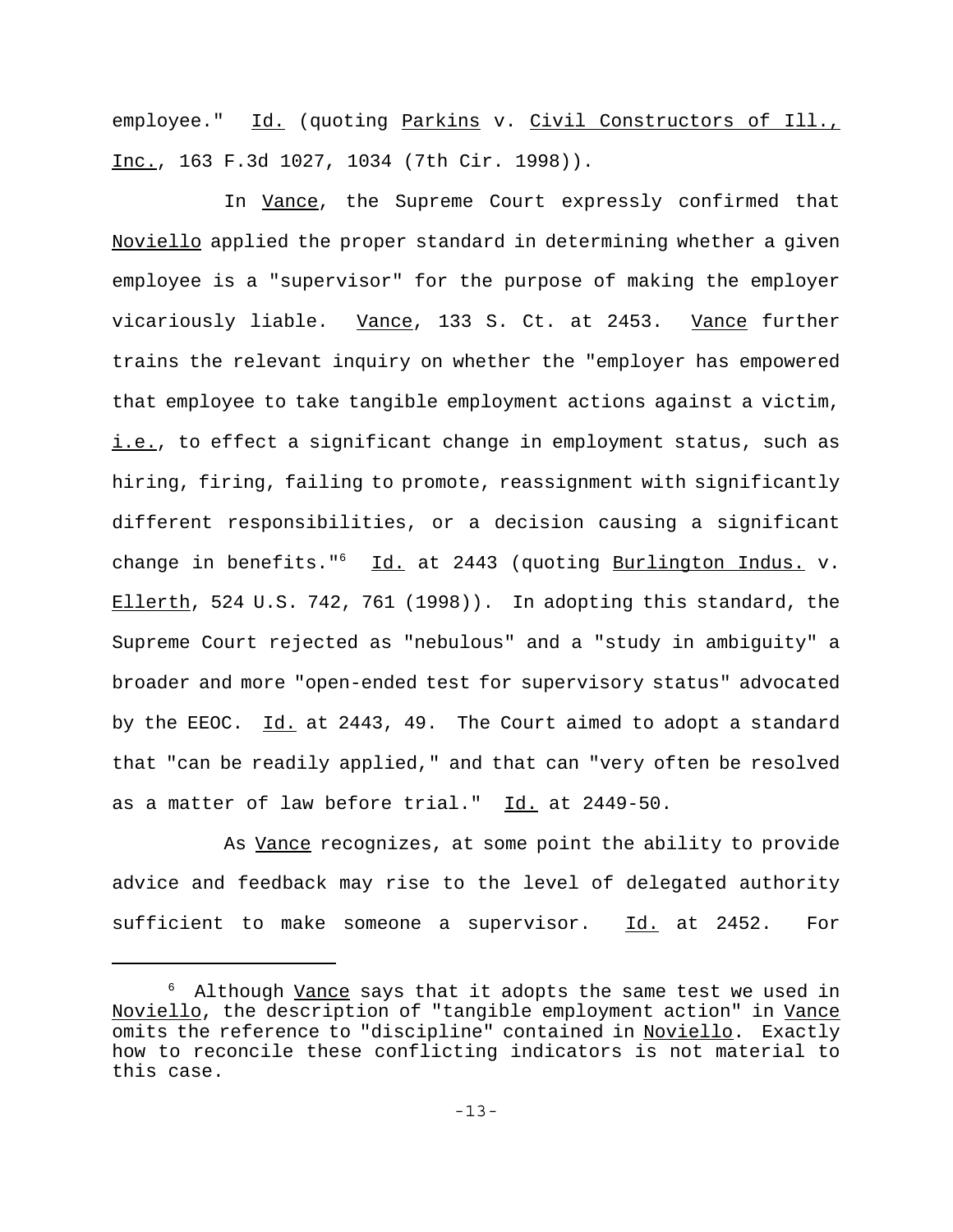employee." Id. (quoting Parkins v. Civil Constructors of Ill., Inc., 163 F.3d 1027, 1034 (7th Cir. 1998)).

In Vance, the Supreme Court expressly confirmed that Noviello applied the proper standard in determining whether a given employee is a "supervisor" for the purpose of making the employer vicariously liable. Vance, 133 S. Ct. at 2453. Vance further trains the relevant inquiry on whether the "employer has empowered that employee to take tangible employment actions against a victim, i.e., to effect a significant change in employment status, such as hiring, firing, failing to promote, reassignment with significantly different responsibilities, or a decision causing a significant change in benefits." $6$  Id. at 2443 (quoting Burlington Indus. v. Ellerth, 524 U.S. 742, 761 (1998)). In adopting this standard, the Supreme Court rejected as "nebulous" and a "study in ambiguity" a broader and more "open-ended test for supervisory status" advocated by the EEOC. Id. at 2443, 49. The Court aimed to adopt a standard that "can be readily applied," and that can "very often be resolved as a matter of law before trial." Id. at 2449-50.

As Vance recognizes, at some point the ability to provide advice and feedback may rise to the level of delegated authority sufficient to make someone a supervisor. Id. at 2452. For

<sup>&</sup>lt;sup>6</sup> Although <u>Vance</u> says that it adopts the same test we used in Noviello, the description of "tangible employment action" in Vance omits the reference to "discipline" contained in Noviello. Exactly how to reconcile these conflicting indicators is not material to this case.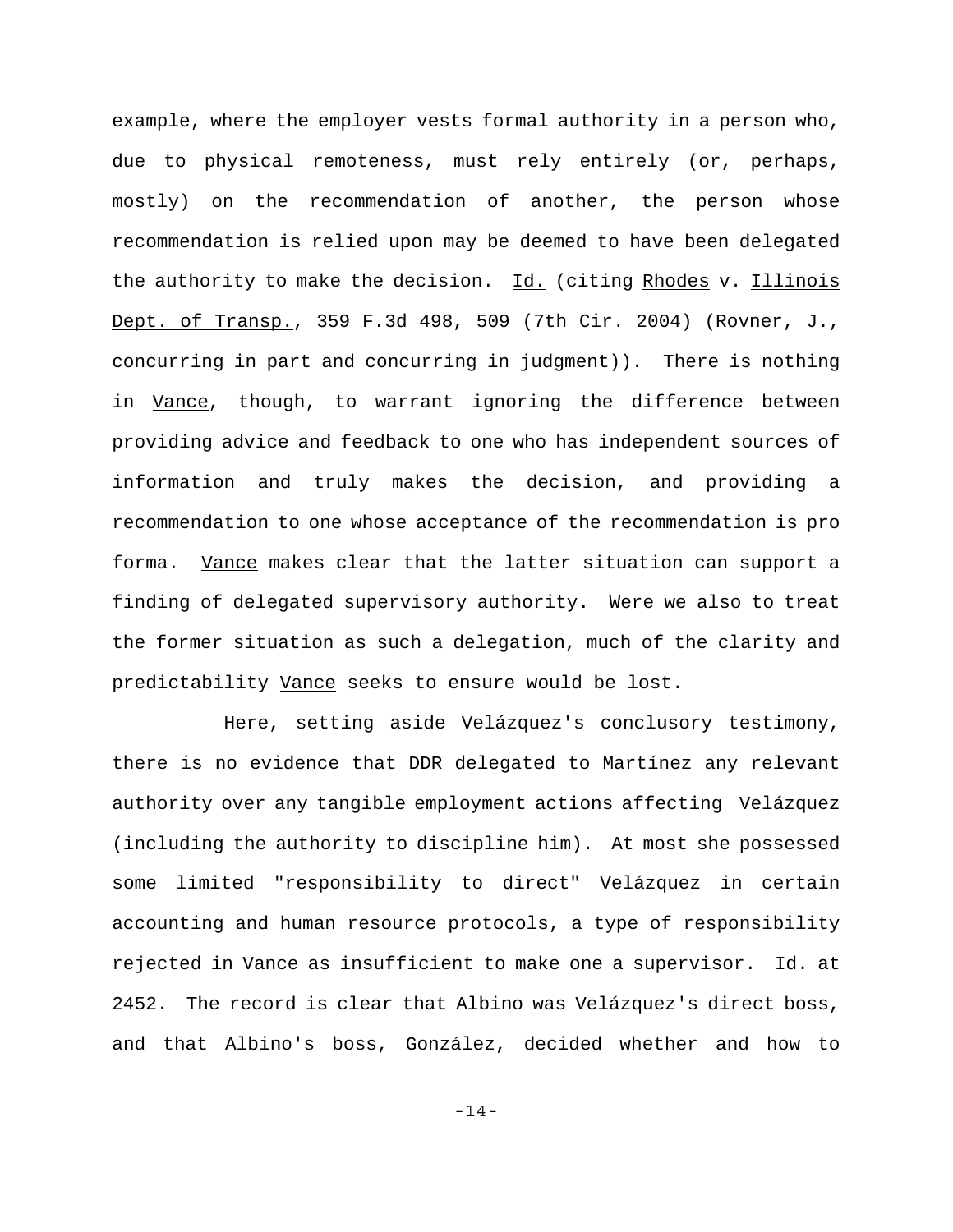example, where the employer vests formal authority in a person who, due to physical remoteness, must rely entirely (or, perhaps, mostly) on the recommendation of another, the person whose recommendation is relied upon may be deemed to have been delegated the authority to make the decision. Id. (citing Rhodes v. Illinois Dept. of Transp., 359 F.3d 498, 509 (7th Cir. 2004) (Rovner, J., concurring in part and concurring in judgment)). There is nothing in Vance, though, to warrant ignoring the difference between providing advice and feedback to one who has independent sources of information and truly makes the decision, and providing a recommendation to one whose acceptance of the recommendation is pro forma. Vance makes clear that the latter situation can support a finding of delegated supervisory authority. Were we also to treat the former situation as such a delegation, much of the clarity and predictability Vance seeks to ensure would be lost.

Here, setting aside Velázquez's conclusory testimony, there is no evidence that DDR delegated to Martínez any relevant authority over any tangible employment actions affecting Velázquez (including the authority to discipline him). At most she possessed some limited "responsibility to direct" Velázquez in certain accounting and human resource protocols, a type of responsibility rejected in Vance as insufficient to make one a supervisor. Id. at 2452. The record is clear that Albino was Velázquez's direct boss, and that Albino's boss, González, decided whether and how to

-14-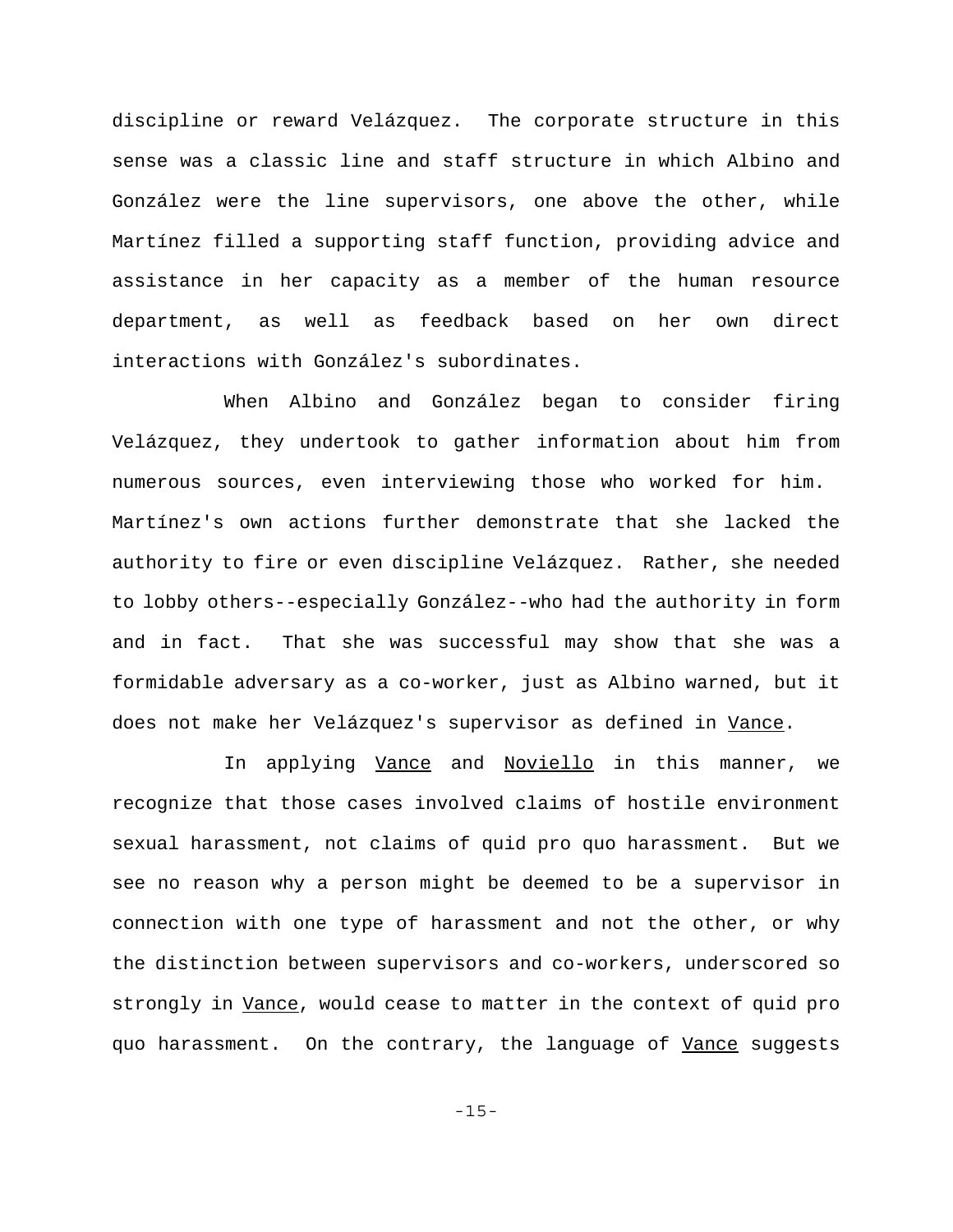discipline or reward Velázquez. The corporate structure in this sense was a classic line and staff structure in which Albino and González were the line supervisors, one above the other, while Martínez filled a supporting staff function, providing advice and assistance in her capacity as a member of the human resource department, as well as feedback based on her own direct interactions with González's subordinates.

When Albino and González began to consider firing Velázquez, they undertook to gather information about him from numerous sources, even interviewing those who worked for him. Martínez's own actions further demonstrate that she lacked the authority to fire or even discipline Velázquez. Rather, she needed to lobby others--especially González--who had the authority in form and in fact. That she was successful may show that she was a formidable adversary as a co-worker, just as Albino warned, but it does not make her Velázquez's supervisor as defined in Vance.

In applying Vance and Noviello in this manner, we recognize that those cases involved claims of hostile environment sexual harassment, not claims of quid pro quo harassment. But we see no reason why a person might be deemed to be a supervisor in connection with one type of harassment and not the other, or why the distinction between supervisors and co-workers, underscored so strongly in Vance, would cease to matter in the context of quid pro quo harassment. On the contrary, the language of Vance suggests

-15-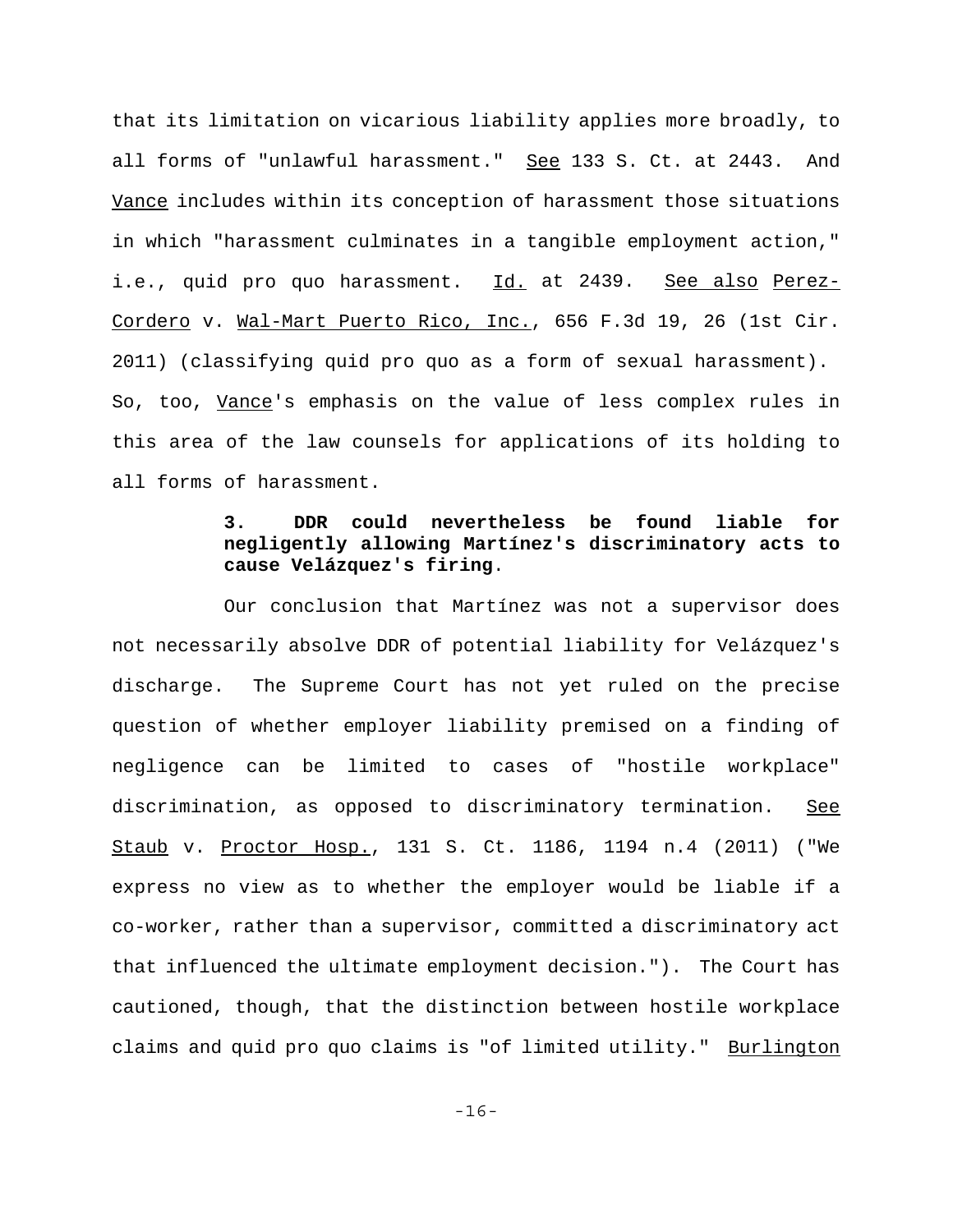that its limitation on vicarious liability applies more broadly, to all forms of "unlawful harassment." See 133 S. Ct. at 2443. And Vance includes within its conception of harassment those situations in which "harassment culminates in a tangible employment action," i.e., quid pro quo harassment. Id. at 2439. See also Perez-Cordero v. Wal-Mart Puerto Rico, Inc., 656 F.3d 19, 26 (1st Cir. 2011) (classifying quid pro quo as a form of sexual harassment). So, too, Vance's emphasis on the value of less complex rules in this area of the law counsels for applications of its holding to all forms of harassment.

# **3. DDR could nevertheless be found liable for negligently allowing Martínez's discriminatory acts to cause Velázquez's firing**.

Our conclusion that Martínez was not a supervisor does not necessarily absolve DDR of potential liability for Velázquez's discharge. The Supreme Court has not yet ruled on the precise question of whether employer liability premised on a finding of negligence can be limited to cases of "hostile workplace" discrimination, as opposed to discriminatory termination. See Staub v. Proctor Hosp., 131 S. Ct. 1186, 1194 n.4 (2011) ("We express no view as to whether the employer would be liable if a co-worker, rather than a supervisor, committed a discriminatory act that influenced the ultimate employment decision."). The Court has cautioned, though, that the distinction between hostile workplace claims and quid pro quo claims is "of limited utility." Burlington

-16-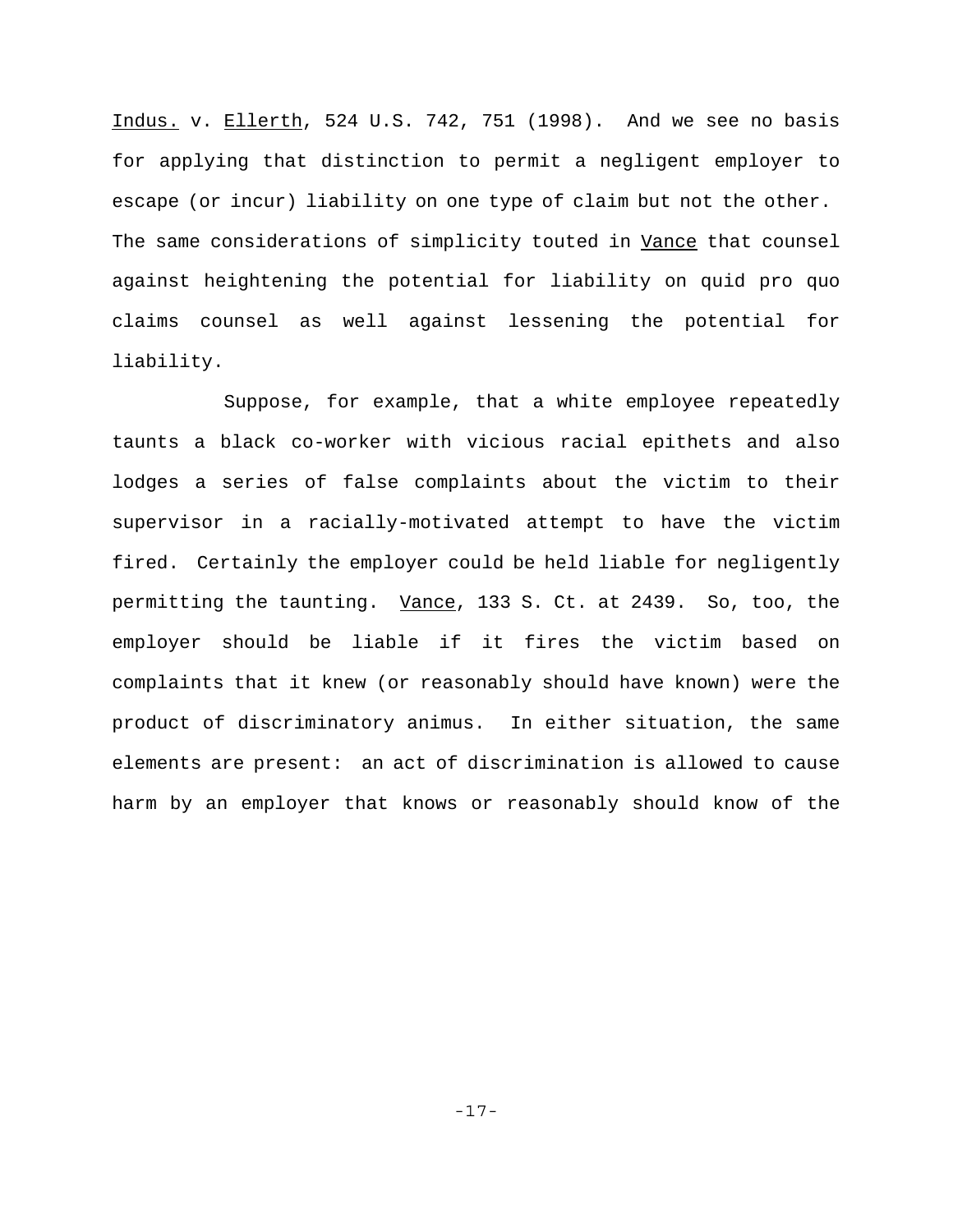Indus. v. Ellerth, 524 U.S. 742, 751 (1998). And we see no basis for applying that distinction to permit a negligent employer to escape (or incur) liability on one type of claim but not the other. The same considerations of simplicity touted in Vance that counsel against heightening the potential for liability on quid pro quo claims counsel as well against lessening the potential for liability.

Suppose, for example, that a white employee repeatedly taunts a black co-worker with vicious racial epithets and also lodges a series of false complaints about the victim to their supervisor in a racially-motivated attempt to have the victim fired. Certainly the employer could be held liable for negligently permitting the taunting. Vance, 133 S. Ct. at 2439. So, too, the employer should be liable if it fires the victim based on complaints that it knew (or reasonably should have known) were the product of discriminatory animus. In either situation, the same elements are present: an act of discrimination is allowed to cause harm by an employer that knows or reasonably should know of the

-17-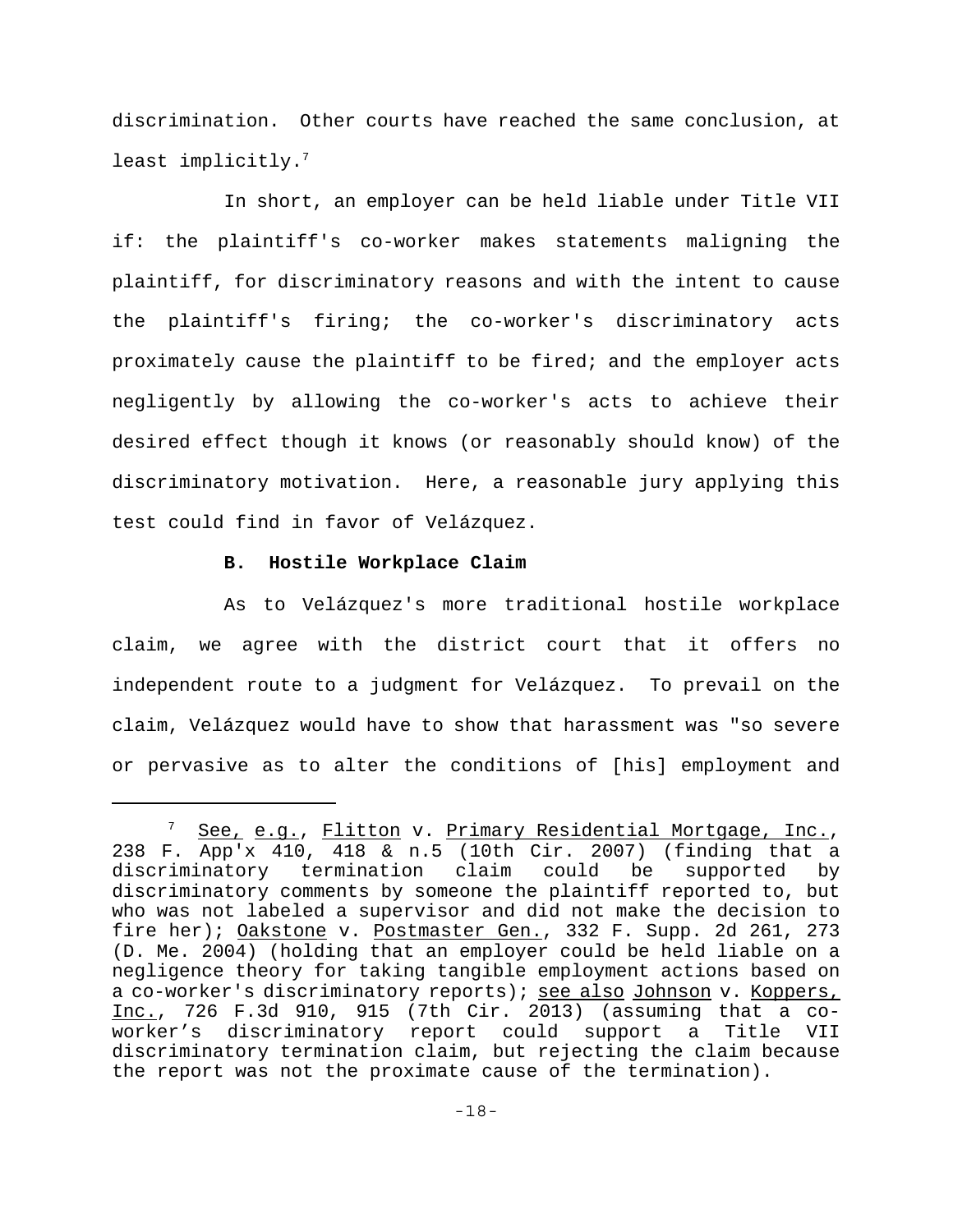discrimination. Other courts have reached the same conclusion, at least implicitly.<sup>7</sup>

In short, an employer can be held liable under Title VII if: the plaintiff's co-worker makes statements maligning the plaintiff, for discriminatory reasons and with the intent to cause the plaintiff's firing; the co-worker's discriminatory acts proximately cause the plaintiff to be fired; and the employer acts negligently by allowing the co-worker's acts to achieve their desired effect though it knows (or reasonably should know) of the discriminatory motivation. Here, a reasonable jury applying this test could find in favor of Velázquez.

## **B. Hostile Workplace Claim**

As to Velázquez's more traditional hostile workplace claim, we agree with the district court that it offers no independent route to a judgment for Velázquez. To prevail on the claim, Velázquez would have to show that harassment was "so severe or pervasive as to alter the conditions of [his] employment and

See, e.g., Flitton v. Primary Residential Mortgage, Inc., 238 F. App'x 410, 418 & n.5 (10th Cir. 2007) (finding that a discriminatory termination claim could be supported by discriminatory comments by someone the plaintiff reported to, but who was not labeled a supervisor and did not make the decision to fire her); Oakstone v. Postmaster Gen., 332 F. Supp. 2d 261, 273 (D. Me. 2004) (holding that an employer could be held liable on a negligence theory for taking tangible employment actions based on a co-worker's discriminatory reports); see also Johnson v. Koppers, Inc., 726 F.3d 910, 915 (7th Cir. 2013) (assuming that a coworker's discriminatory report could support a Title VII discriminatory termination claim, but rejecting the claim because the report was not the proximate cause of the termination).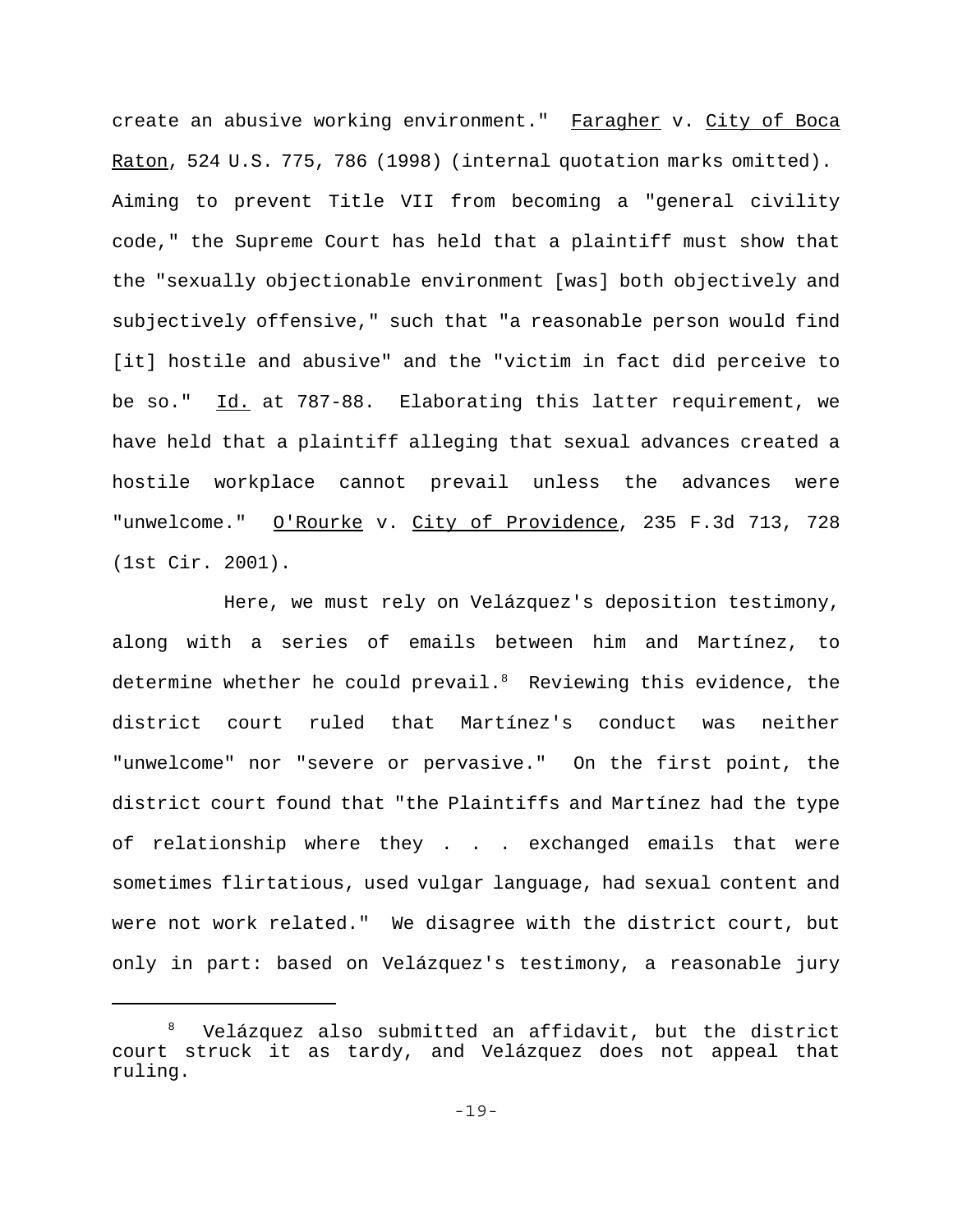create an abusive working environment." Faragher v. City of Boca Raton, 524 U.S. 775, 786 (1998) (internal quotation marks omitted). Aiming to prevent Title VII from becoming a "general civility code," the Supreme Court has held that a plaintiff must show that the "sexually objectionable environment [was] both objectively and subjectively offensive," such that "a reasonable person would find [it] hostile and abusive" and the "victim in fact did perceive to be so." Id. at 787-88. Elaborating this latter requirement, we have held that a plaintiff alleging that sexual advances created a hostile workplace cannot prevail unless the advances were "unwelcome." O'Rourke v. City of Providence, 235 F.3d 713, 728 (1st Cir. 2001).

Here, we must rely on Velázquez's deposition testimony, along with a series of emails between him and Martínez, to determine whether he could prevail. $8$  Reviewing this evidence, the district court ruled that Martínez's conduct was neither "unwelcome" nor "severe or pervasive." On the first point, the district court found that "the Plaintiffs and Martínez had the type of relationship where they . . . exchanged emails that were sometimes flirtatious, used vulgar language, had sexual content and were not work related." We disagree with the district court, but only in part: based on Velázquez's testimony, a reasonable jury

<sup>8</sup> Velázquez also submitted an affidavit, but the district court struck it as tardy, and Velázquez does not appeal that ruling.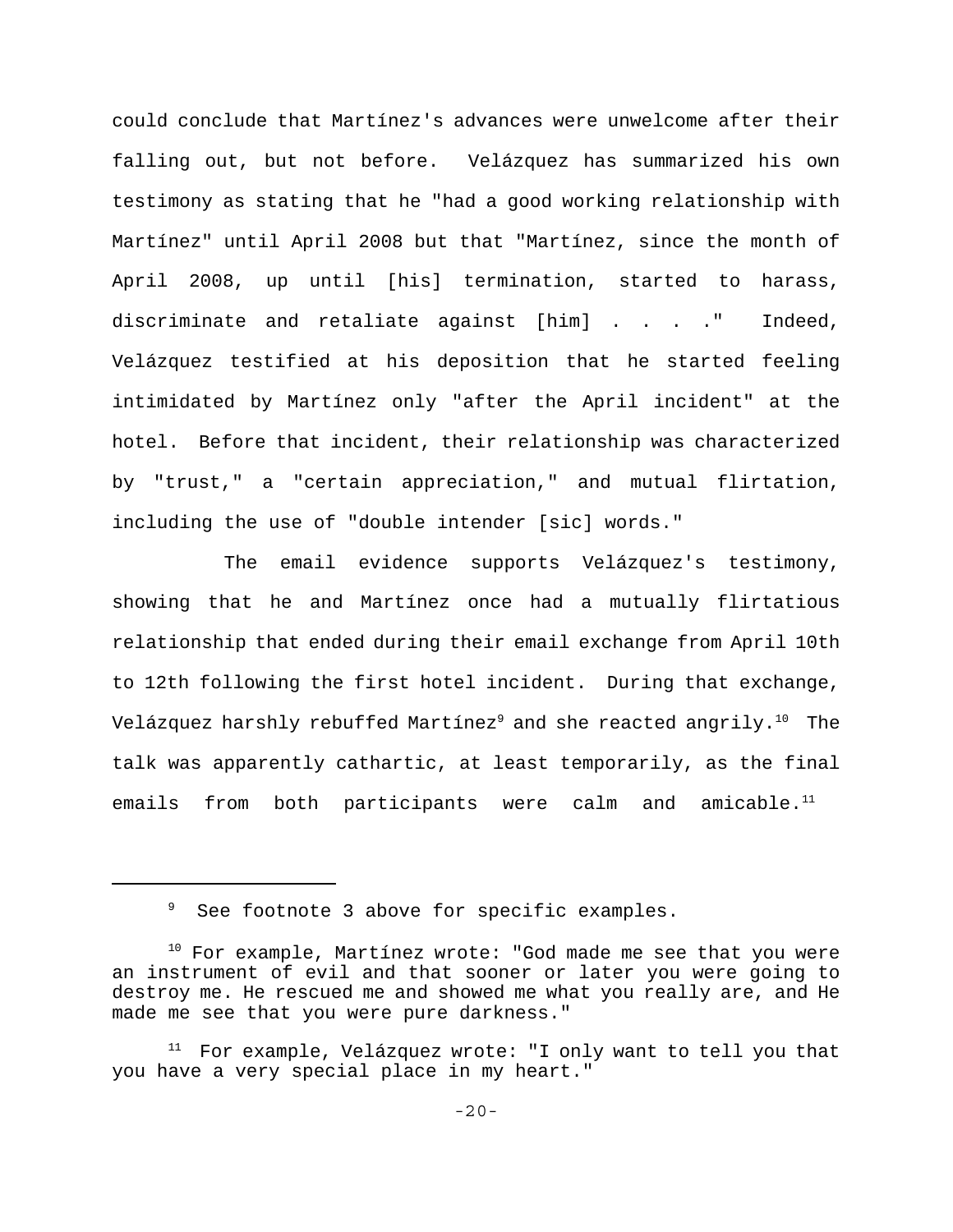could conclude that Martínez's advances were unwelcome after their falling out, but not before. Velázquez has summarized his own testimony as stating that he "had a good working relationship with Martínez" until April 2008 but that "Martínez, since the month of April 2008, up until [his] termination, started to harass, discriminate and retaliate against [him] . . . ." Indeed, Velázquez testified at his deposition that he started feeling intimidated by Martínez only "after the April incident" at the hotel. Before that incident, their relationship was characterized by "trust," a "certain appreciation," and mutual flirtation, including the use of "double intender [sic] words."

The email evidence supports Velázquez's testimony, showing that he and Martínez once had a mutually flirtatious relationship that ended during their email exchange from April 10th to 12th following the first hotel incident. During that exchange, Velázquez harshly rebuffed Martínez<sup>9</sup> and she reacted angrily.<sup>10</sup> The talk was apparently cathartic, at least temporarily, as the final emails from both participants were calm and amicable.<sup>11</sup>

<sup>&</sup>lt;sup>9</sup> See footnote 3 above for specific examples.

 $10$  For example, Martínez wrote: "God made me see that you were an instrument of evil and that sooner or later you were going to destroy me. He rescued me and showed me what you really are, and He made me see that you were pure darkness."

 $11$  For example, Velázquez wrote: "I only want to tell you that you have a very special place in my heart."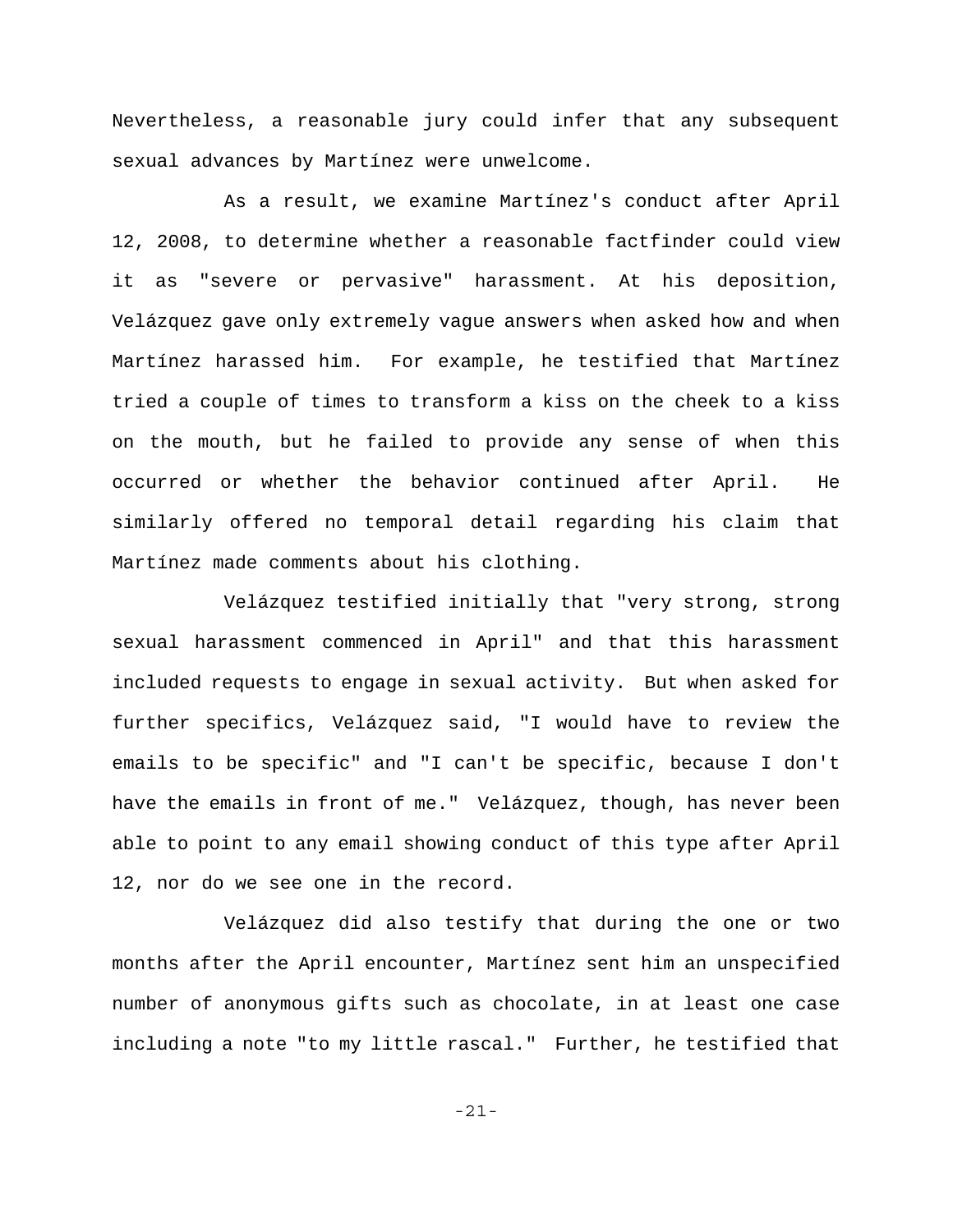Nevertheless, a reasonable jury could infer that any subsequent sexual advances by Martínez were unwelcome.

As a result, we examine Martínez's conduct after April 12, 2008, to determine whether a reasonable factfinder could view it as "severe or pervasive" harassment. At his deposition, Velázquez gave only extremely vague answers when asked how and when Martínez harassed him. For example, he testified that Martínez tried a couple of times to transform a kiss on the cheek to a kiss on the mouth, but he failed to provide any sense of when this occurred or whether the behavior continued after April. He similarly offered no temporal detail regarding his claim that Martínez made comments about his clothing.

Velázquez testified initially that "very strong, strong sexual harassment commenced in April" and that this harassment included requests to engage in sexual activity. But when asked for further specifics, Velázquez said, "I would have to review the emails to be specific" and "I can't be specific, because I don't have the emails in front of me." Velázquez, though, has never been able to point to any email showing conduct of this type after April 12, nor do we see one in the record.

Velázquez did also testify that during the one or two months after the April encounter, Martínez sent him an unspecified number of anonymous gifts such as chocolate, in at least one case including a note "to my little rascal." Further, he testified that

-21-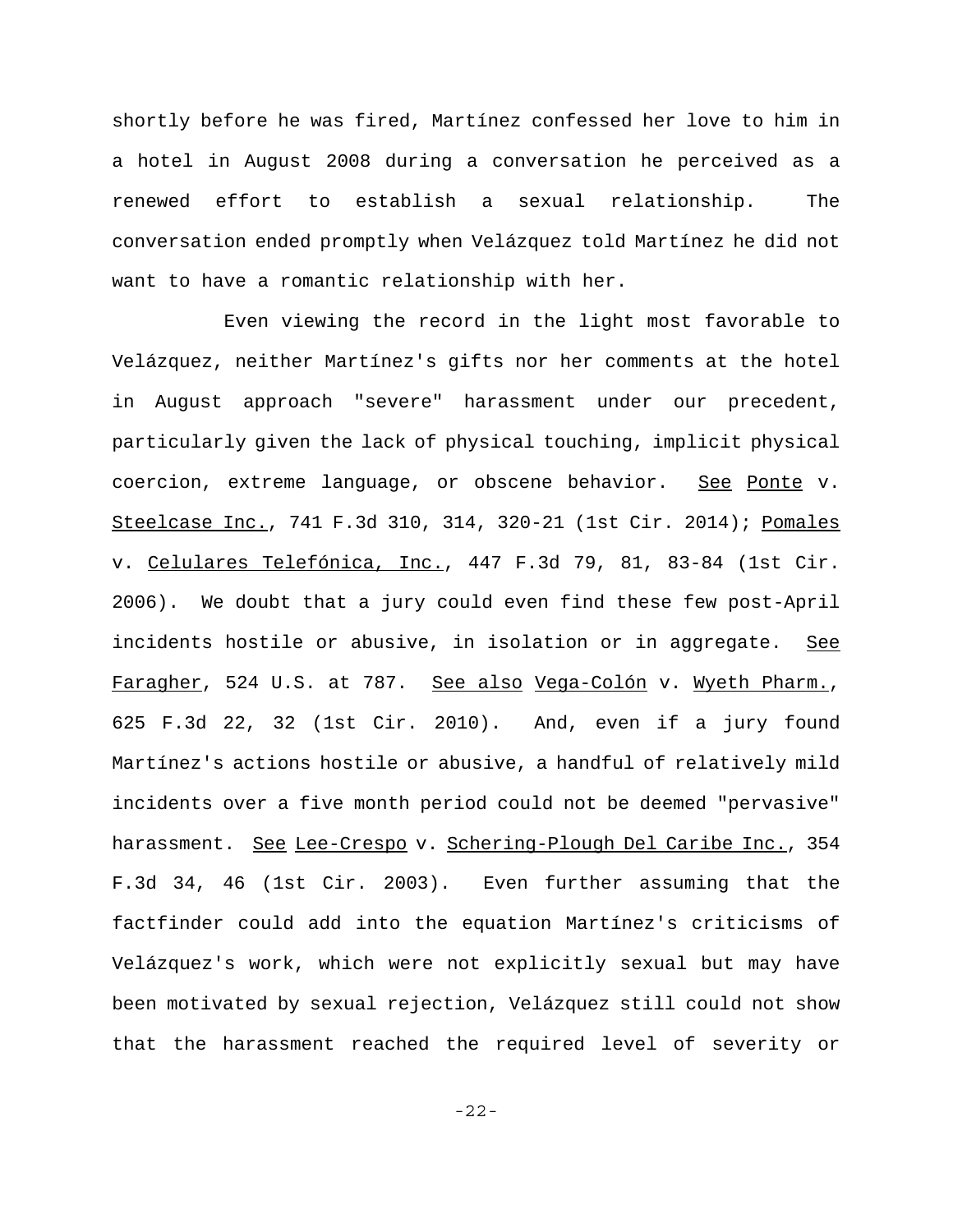shortly before he was fired, Martínez confessed her love to him in a hotel in August 2008 during a conversation he perceived as a renewed effort to establish a sexual relationship. The conversation ended promptly when Velázquez told Martínez he did not want to have a romantic relationship with her.

Even viewing the record in the light most favorable to Velázquez, neither Martínez's gifts nor her comments at the hotel in August approach "severe" harassment under our precedent, particularly given the lack of physical touching, implicit physical coercion, extreme language, or obscene behavior. See Ponte v. Steelcase Inc., 741 F.3d 310, 314, 320-21 (1st Cir. 2014); Pomales v. Celulares Telefónica, Inc., 447 F.3d 79, 81, 83-84 (1st Cir. 2006). We doubt that a jury could even find these few post-April incidents hostile or abusive, in isolation or in aggregate. See Faragher, 524 U.S. at 787. See also Vega-Colón v. Wyeth Pharm., 625 F.3d 22, 32 (1st Cir. 2010). And, even if a jury found Martínez's actions hostile or abusive, a handful of relatively mild incidents over a five month period could not be deemed "pervasive" harassment. See Lee-Crespo v. Schering-Plough Del Caribe Inc., 354 F.3d 34, 46 (1st Cir. 2003). Even further assuming that the factfinder could add into the equation Martínez's criticisms of Velázquez's work, which were not explicitly sexual but may have been motivated by sexual rejection, Velázquez still could not show that the harassment reached the required level of severity or

-22-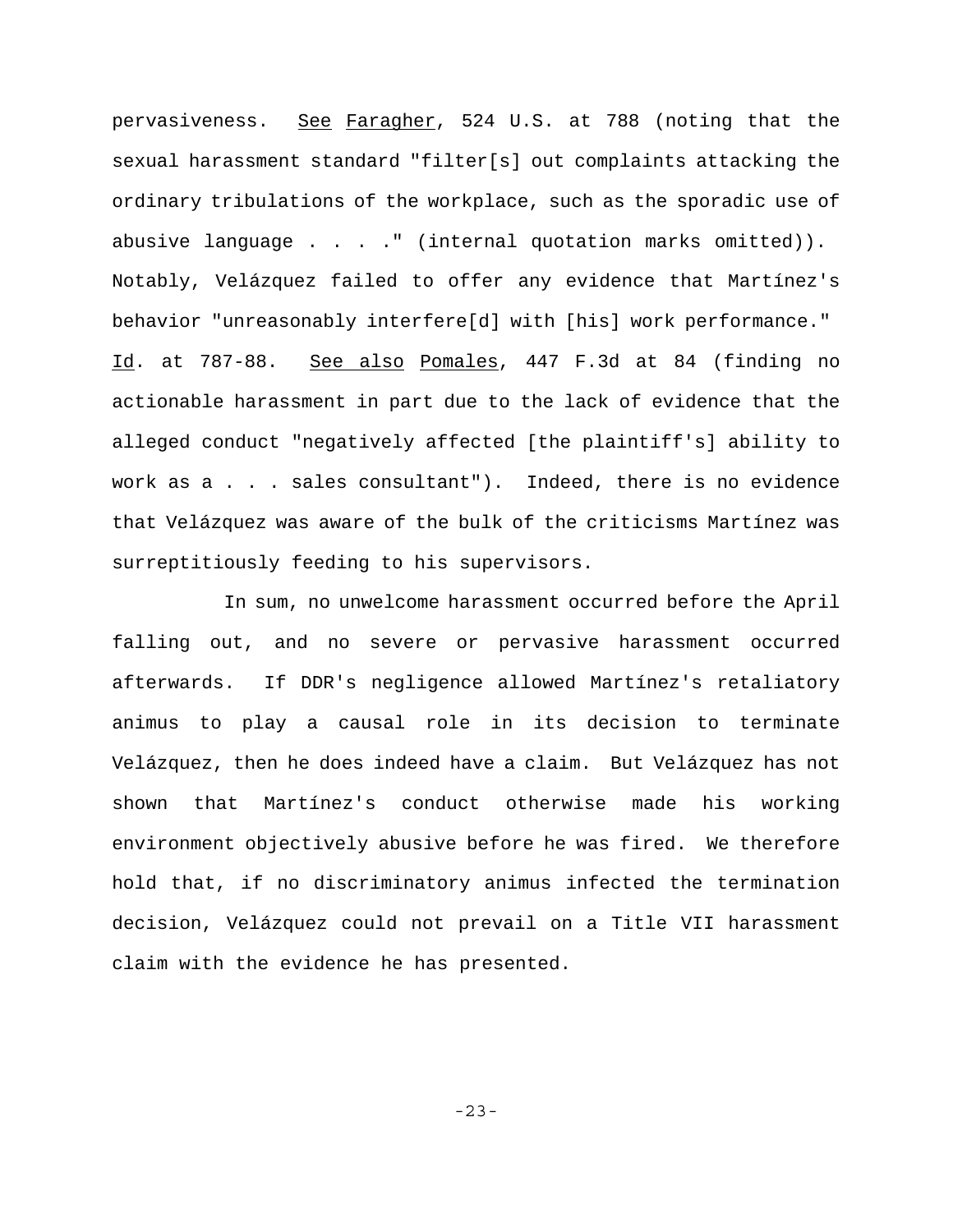pervasiveness. See Faragher, 524 U.S. at 788 (noting that the sexual harassment standard "filter[s] out complaints attacking the ordinary tribulations of the workplace, such as the sporadic use of abusive language  $\ldots$  . . " (internal quotation marks omitted)). Notably, Velázquez failed to offer any evidence that Martínez's behavior "unreasonably interfere[d] with [his] work performance." Id. at 787-88. See also Pomales, 447 F.3d at 84 (finding no actionable harassment in part due to the lack of evidence that the alleged conduct "negatively affected [the plaintiff's] ability to work as a . . . sales consultant"). Indeed, there is no evidence that Velázquez was aware of the bulk of the criticisms Martínez was surreptitiously feeding to his supervisors.

In sum, no unwelcome harassment occurred before the April falling out, and no severe or pervasive harassment occurred afterwards. If DDR's negligence allowed Martínez's retaliatory animus to play a causal role in its decision to terminate Velázquez, then he does indeed have a claim. But Velázquez has not shown that Martínez's conduct otherwise made his working environment objectively abusive before he was fired. We therefore hold that, if no discriminatory animus infected the termination decision, Velázquez could not prevail on a Title VII harassment claim with the evidence he has presented.

-23-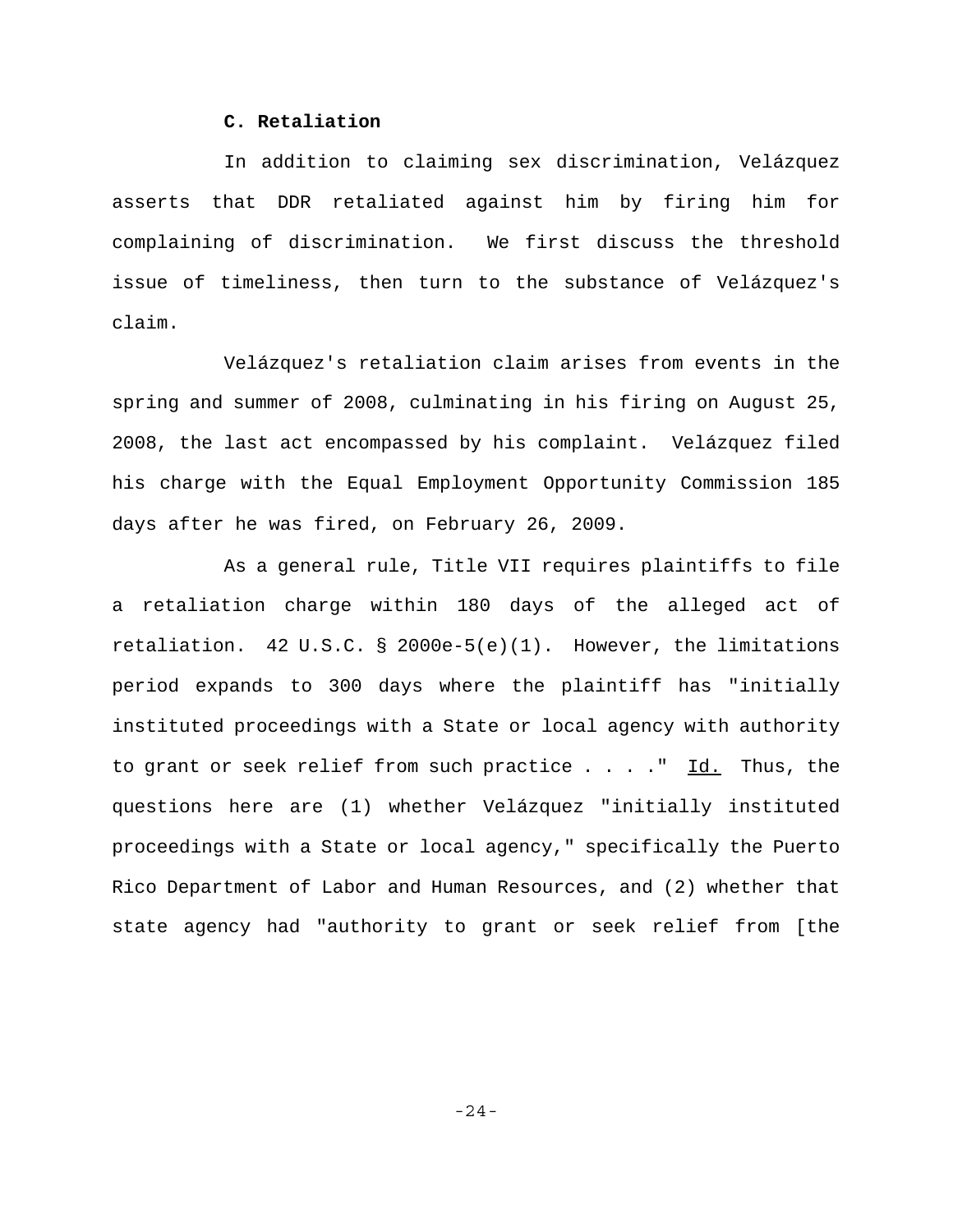## **C. Retaliation**

In addition to claiming sex discrimination, Velázquez asserts that DDR retaliated against him by firing him for complaining of discrimination. We first discuss the threshold issue of timeliness, then turn to the substance of Velázquez's claim.

Velázquez's retaliation claim arises from events in the spring and summer of 2008, culminating in his firing on August 25, 2008, the last act encompassed by his complaint. Velázquez filed his charge with the Equal Employment Opportunity Commission 185 days after he was fired, on February 26, 2009.

As a general rule, Title VII requires plaintiffs to file a retaliation charge within 180 days of the alleged act of retaliation. 42 U.S.C. § 2000e-5(e)(1). However, the limitations period expands to 300 days where the plaintiff has "initially instituted proceedings with a State or local agency with authority to grant or seek relief from such practice  $\ldots$ . " Id. Thus, the questions here are (1) whether Velázquez "initially instituted proceedings with a State or local agency," specifically the Puerto Rico Department of Labor and Human Resources, and (2) whether that state agency had "authority to grant or seek relief from [the

-24-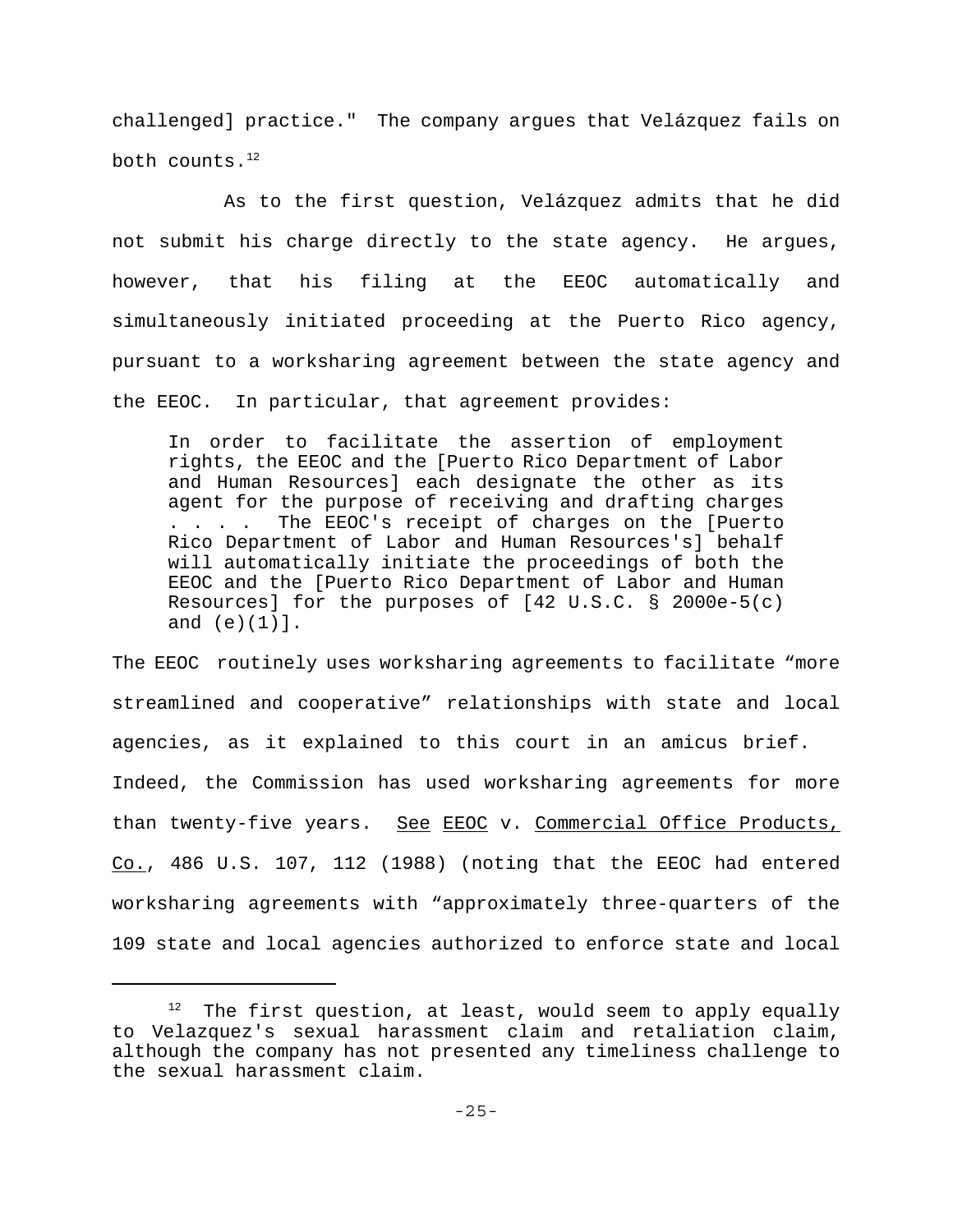challenged] practice." The company argues that Velázquez fails on both counts.12

As to the first question, Velázquez admits that he did not submit his charge directly to the state agency. He argues, however, that his filing at the EEOC automatically and simultaneously initiated proceeding at the Puerto Rico agency, pursuant to a worksharing agreement between the state agency and the EEOC. In particular, that agreement provides:

In order to facilitate the assertion of employment rights, the EEOC and the [Puerto Rico Department of Labor and Human Resources] each designate the other as its agent for the purpose of receiving and drafting charges . . . . The EEOC's receipt of charges on the [Puerto Rico Department of Labor and Human Resources's] behalf will automatically initiate the proceedings of both the EEOC and the [Puerto Rico Department of Labor and Human Resources] for the purposes of [42 U.S.C. § 2000e-5(c) and (e)(1)].

The EEOC routinely uses worksharing agreements to facilitate "more streamlined and cooperative" relationships with state and local agencies, as it explained to this court in an amicus brief. Indeed, the Commission has used worksharing agreements for more than twenty-five years. See EEOC v. Commercial Office Products, Co., 486 U.S. 107, 112 (1988) (noting that the EEOC had entered worksharing agreements with "approximately three-quarters of the 109 state and local agencies authorized to enforce state and local

 $12$  The first question, at least, would seem to apply equally to Velazquez's sexual harassment claim and retaliation claim, although the company has not presented any timeliness challenge to the sexual harassment claim.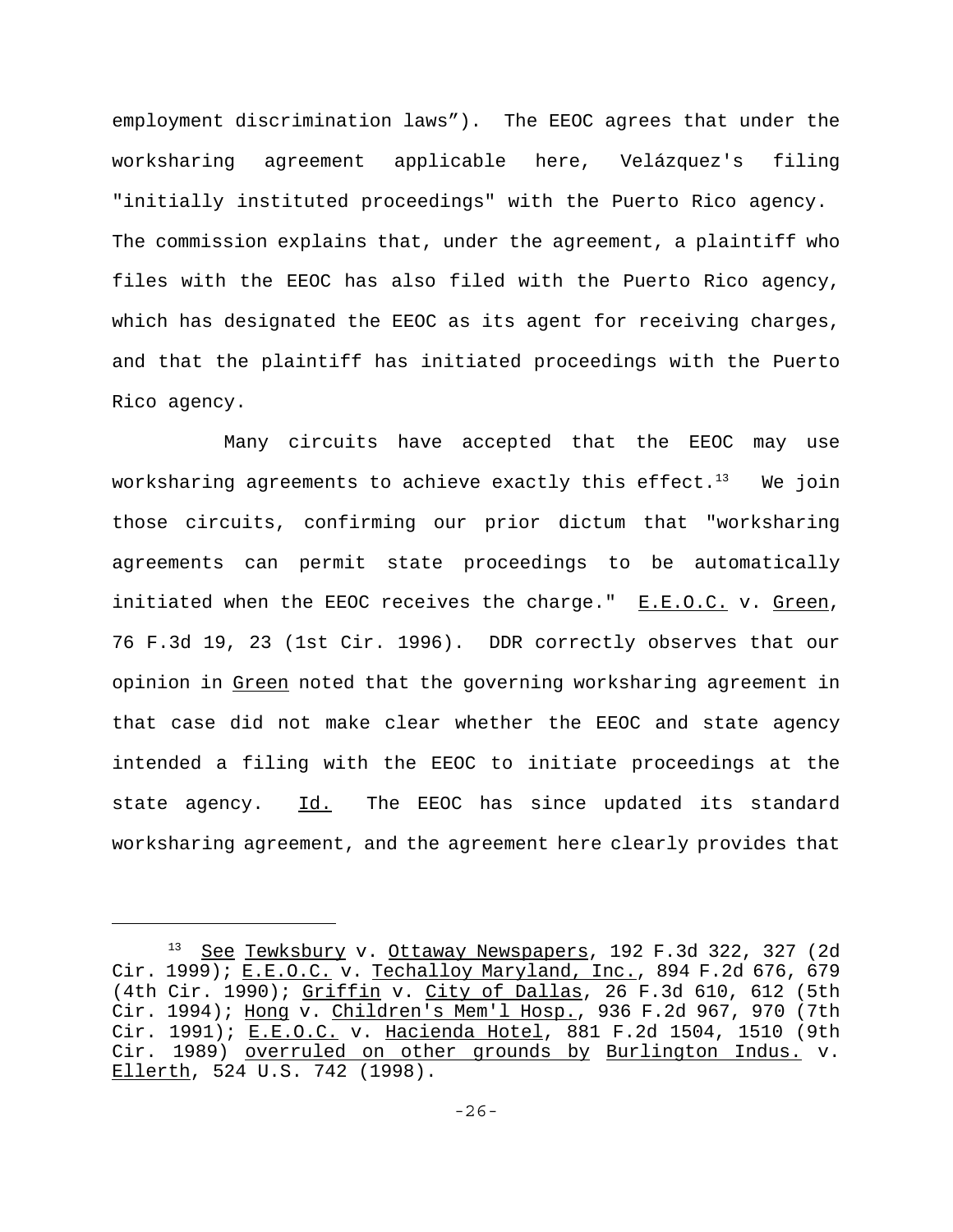employment discrimination laws"). The EEOC agrees that under the worksharing agreement applicable here, Velázquez's filing "initially instituted proceedings" with the Puerto Rico agency. The commission explains that, under the agreement, a plaintiff who files with the EEOC has also filed with the Puerto Rico agency, which has designated the EEOC as its agent for receiving charges, and that the plaintiff has initiated proceedings with the Puerto Rico agency.

Many circuits have accepted that the EEOC may use worksharing agreements to achieve exactly this effect. $13$  We join those circuits, confirming our prior dictum that "worksharing agreements can permit state proceedings to be automatically initiated when the EEOC receives the charge." E.E.O.C. v. Green, 76 F.3d 19, 23 (1st Cir. 1996). DDR correctly observes that our opinion in Green noted that the governing worksharing agreement in that case did not make clear whether the EEOC and state agency intended a filing with the EEOC to initiate proceedings at the state agency. Id. The EEOC has since updated its standard worksharing agreement, and the agreement here clearly provides that

<sup>&</sup>lt;sup>13</sup> See Tewksbury v. Ottaway Newspapers, 192 F.3d 322, 327 (2d Cir. 1999); <u>E.E.O.C.</u> v. Techalloy Maryland, Inc., 894 F.2d 676, 679 (4th Cir. 1990); Griffin v. City of Dallas, 26 F.3d 610, 612 (5th Cir. 1994); Hong v. Children's Mem'l Hosp., 936 F.2d 967, 970 (7th Cir. 1991); E.E.O.C. v. Hacienda Hotel, 881 F.2d 1504, 1510 (9th Cir. 1989) overruled on other grounds by Burlington Indus. v. Ellerth, 524 U.S. 742 (1998).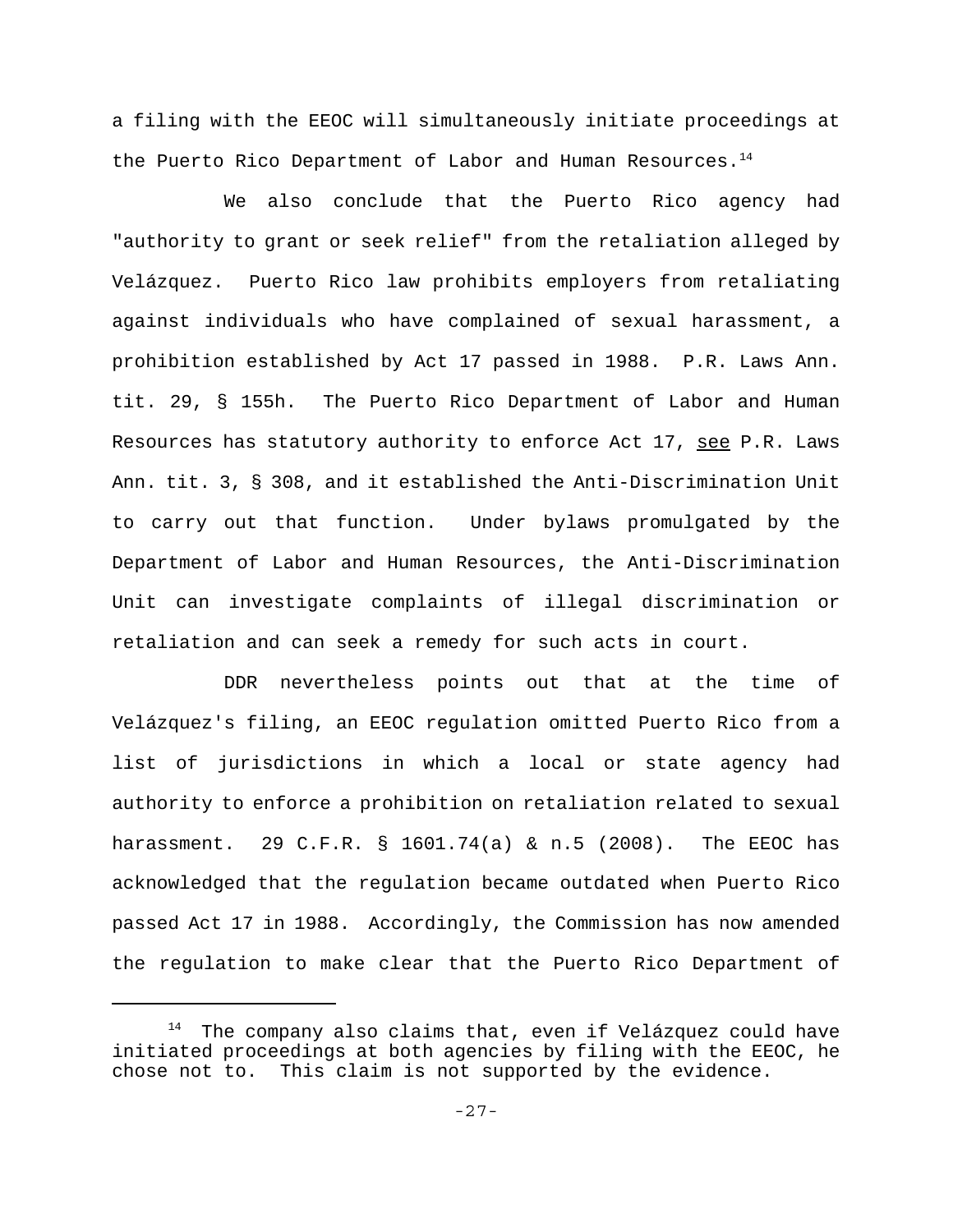a filing with the EEOC will simultaneously initiate proceedings at the Puerto Rico Department of Labor and Human Resources.<sup>14</sup>

We also conclude that the Puerto Rico agency had "authority to grant or seek relief" from the retaliation alleged by Velázquez. Puerto Rico law prohibits employers from retaliating against individuals who have complained of sexual harassment, a prohibition established by Act 17 passed in 1988. P.R. Laws Ann. tit. 29, § 155h. The Puerto Rico Department of Labor and Human Resources has statutory authority to enforce Act 17, see P.R. Laws Ann. tit. 3, § 308, and it established the Anti-Discrimination Unit to carry out that function. Under bylaws promulgated by the Department of Labor and Human Resources, the Anti-Discrimination Unit can investigate complaints of illegal discrimination or retaliation and can seek a remedy for such acts in court.

DDR nevertheless points out that at the time of Velázquez's filing, an EEOC regulation omitted Puerto Rico from a list of jurisdictions in which a local or state agency had authority to enforce a prohibition on retaliation related to sexual harassment. 29 C.F.R. § 1601.74(a) & n.5 (2008). The EEOC has acknowledged that the regulation became outdated when Puerto Rico passed Act 17 in 1988. Accordingly, the Commission has now amended the regulation to make clear that the Puerto Rico Department of

 $14$  The company also claims that, even if Velázquez could have initiated proceedings at both agencies by filing with the EEOC, he chose not to. This claim is not supported by the evidence.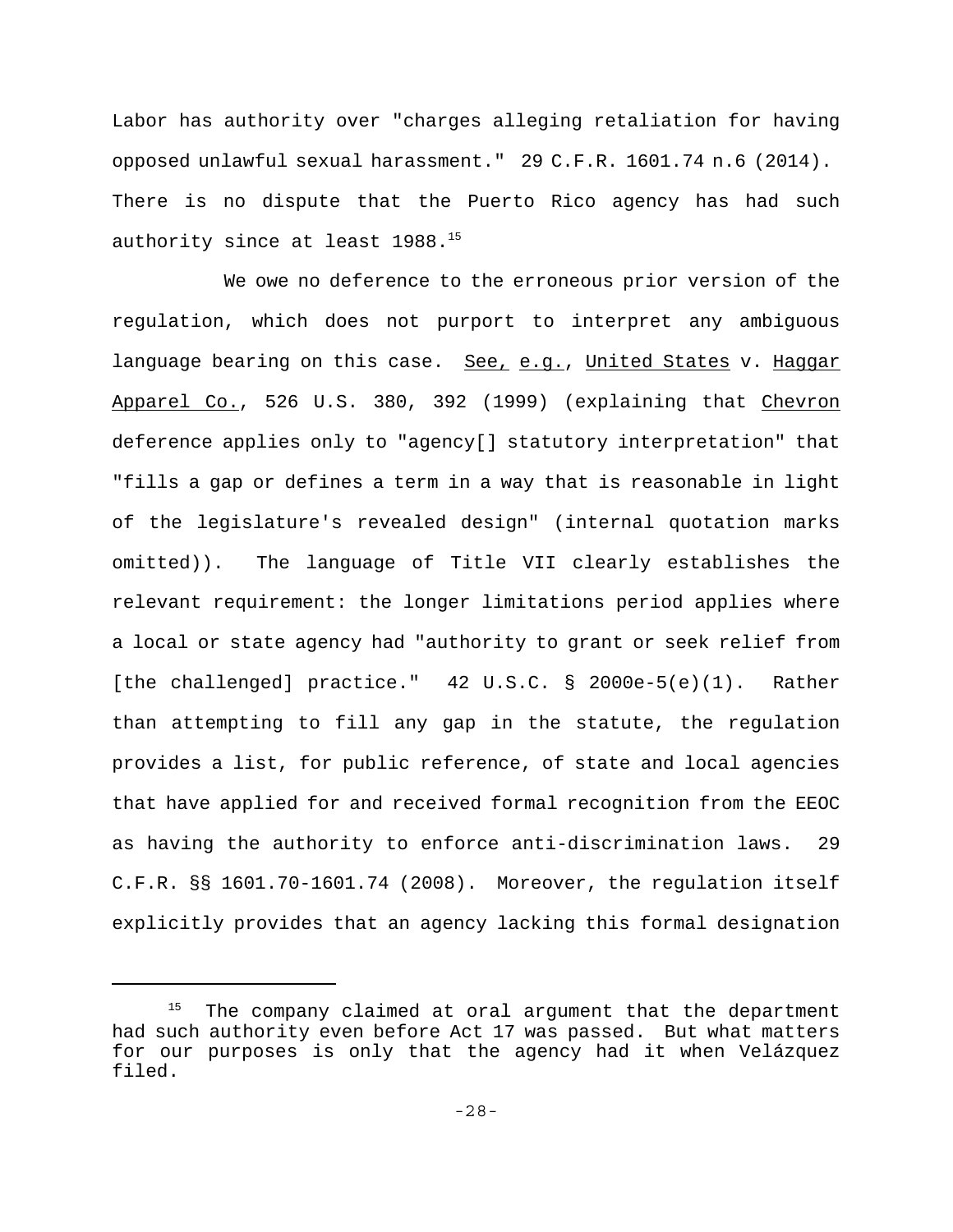Labor has authority over "charges alleging retaliation for having opposed unlawful sexual harassment." 29 C.F.R. 1601.74 n.6 (2014). There is no dispute that the Puerto Rico agency has had such authority since at least  $1988.^{15}$ 

We owe no deference to the erroneous prior version of the regulation, which does not purport to interpret any ambiguous language bearing on this case. See, e.g., United States v. Haggar Apparel Co., 526 U.S. 380, 392 (1999) (explaining that Chevron deference applies only to "agency[] statutory interpretation" that "fills a gap or defines a term in a way that is reasonable in light of the legislature's revealed design" (internal quotation marks omitted)). The language of Title VII clearly establishes the relevant requirement: the longer limitations period applies where a local or state agency had "authority to grant or seek relief from [the challenged] practice." 42 U.S.C. § 2000e-5(e)(1). Rather than attempting to fill any gap in the statute, the regulation provides a list, for public reference, of state and local agencies that have applied for and received formal recognition from the EEOC as having the authority to enforce anti-discrimination laws. 29 C.F.R. §§ 1601.70-1601.74 (2008). Moreover, the regulation itself explicitly provides that an agency lacking this formal designation

<sup>&</sup>lt;sup>15</sup> The company claimed at oral argument that the department had such authority even before Act 17 was passed. But what matters for our purposes is only that the agency had it when Velázquez filed.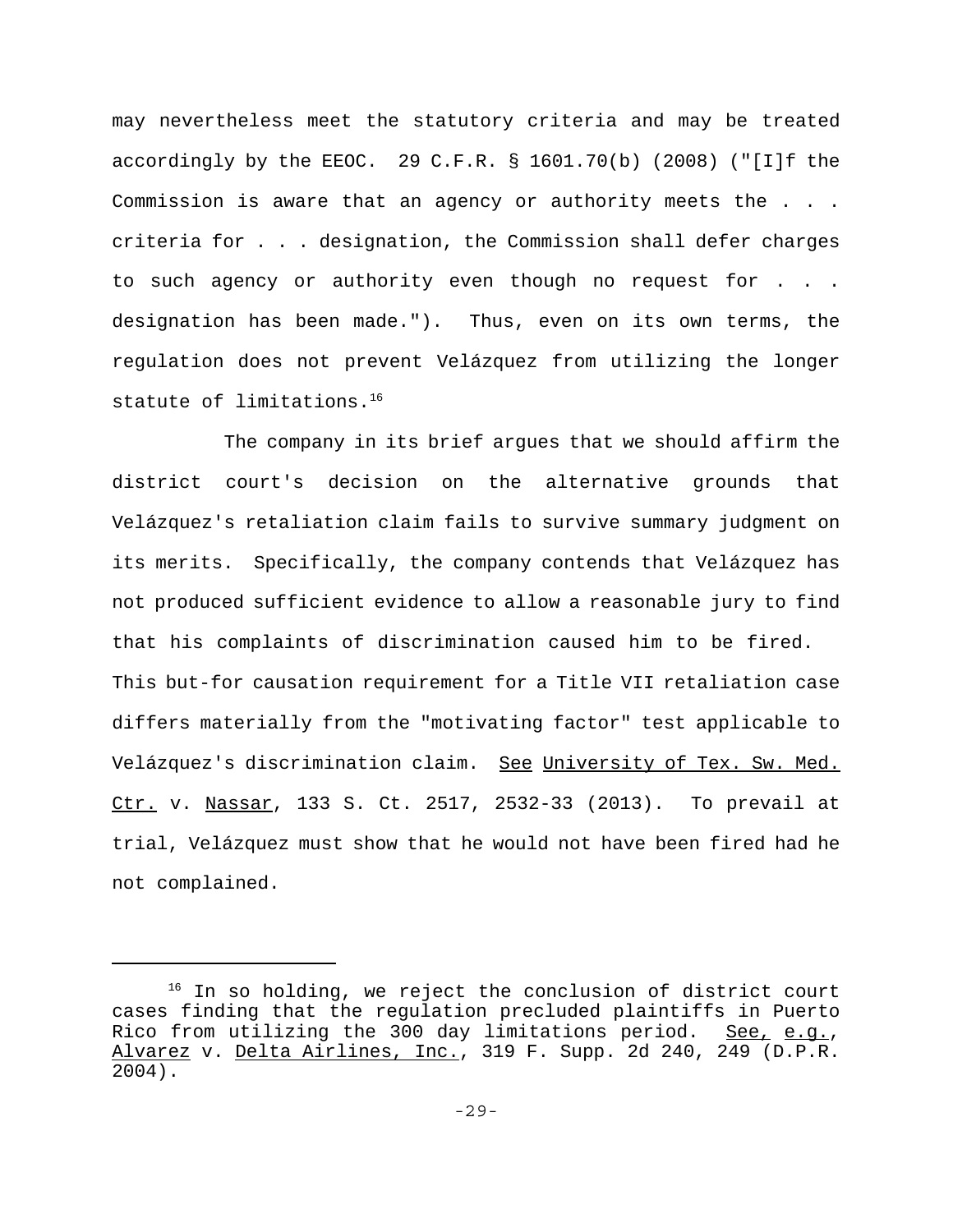may nevertheless meet the statutory criteria and may be treated accordingly by the EEOC. 29 C.F.R.  $\S$  1601.70(b) (2008) ("[I]f the Commission is aware that an agency or authority meets the . . . criteria for . . . designation, the Commission shall defer charges to such agency or authority even though no request for . . . designation has been made."). Thus, even on its own terms, the regulation does not prevent Velázquez from utilizing the longer statute of limitations.<sup>16</sup>

The company in its brief argues that we should affirm the district court's decision on the alternative grounds that Velázquez's retaliation claim fails to survive summary judgment on its merits. Specifically, the company contends that Velázquez has not produced sufficient evidence to allow a reasonable jury to find that his complaints of discrimination caused him to be fired. This but-for causation requirement for a Title VII retaliation case differs materially from the "motivating factor" test applicable to Velázquez's discrimination claim. See University of Tex. Sw. Med. Ctr. v. Nassar, 133 S. Ct. 2517, 2532-33 (2013). To prevail at trial, Velázquez must show that he would not have been fired had he not complained.

 $16$  In so holding, we reject the conclusion of district court cases finding that the regulation precluded plaintiffs in Puerto Rico from utilizing the 300 day limitations period. See, e.g., Alvarez v. Delta Airlines, Inc., 319 F. Supp. 2d 240, 249 (D.P.R. 2004).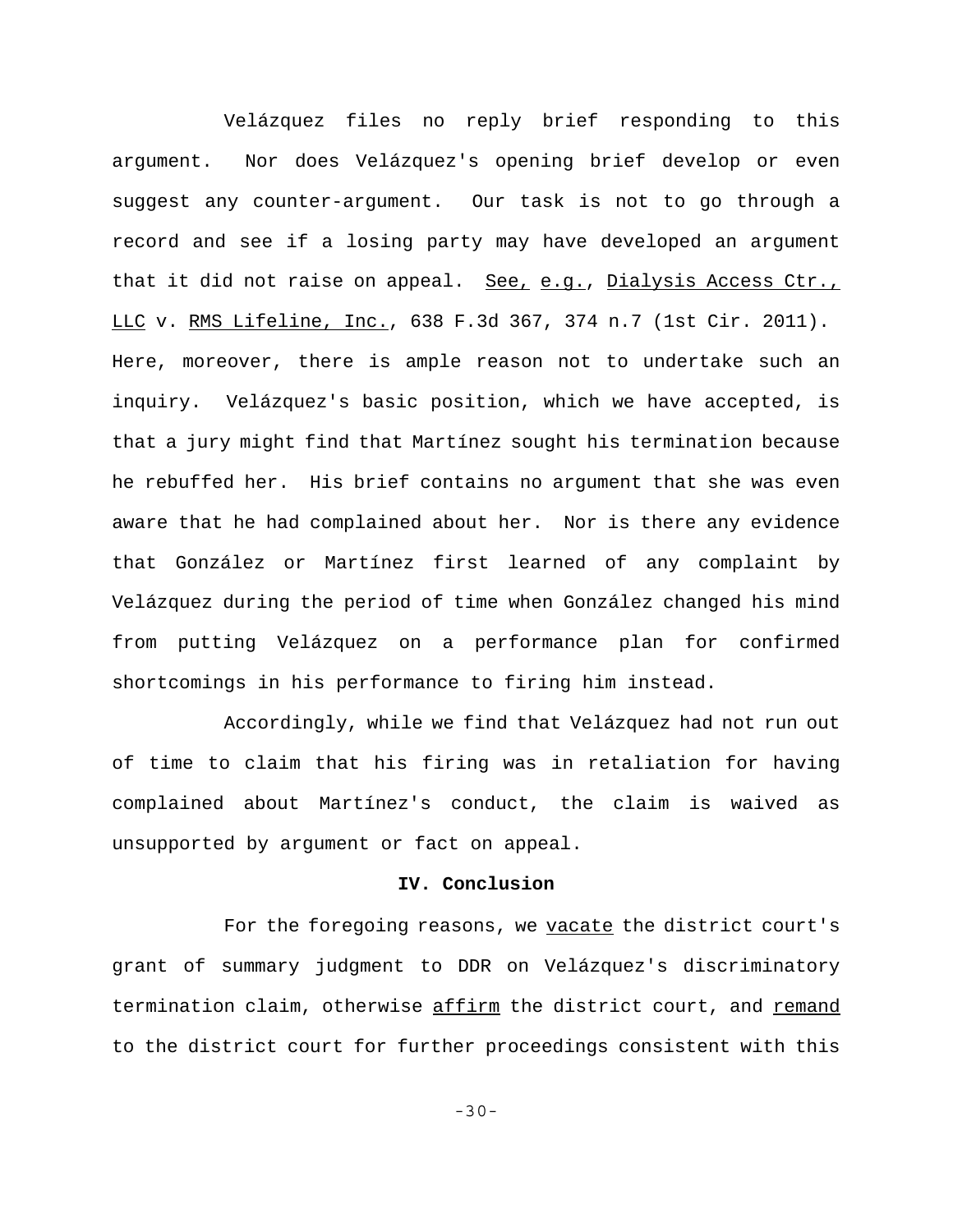Velázquez files no reply brief responding to this argument. Nor does Velázquez's opening brief develop or even suggest any counter-argument. Our task is not to go through a record and see if a losing party may have developed an argument that it did not raise on appeal. See, e.g., Dialysis Access Ctr., LLC v. RMS Lifeline, Inc., 638 F.3d 367, 374 n.7 (1st Cir. 2011). Here, moreover, there is ample reason not to undertake such an inquiry. Velázquez's basic position, which we have accepted, is that a jury might find that Martínez sought his termination because he rebuffed her. His brief contains no argument that she was even aware that he had complained about her. Nor is there any evidence that González or Martínez first learned of any complaint by Velázquez during the period of time when González changed his mind from putting Velázquez on a performance plan for confirmed shortcomings in his performance to firing him instead.

Accordingly, while we find that Velázquez had not run out of time to claim that his firing was in retaliation for having complained about Martínez's conduct, the claim is waived as unsupported by argument or fact on appeal.

#### **IV. Conclusion**

For the foregoing reasons, we vacate the district court's grant of summary judgment to DDR on Velázquez's discriminatory termination claim, otherwise affirm the district court, and remand to the district court for further proceedings consistent with this

-30-